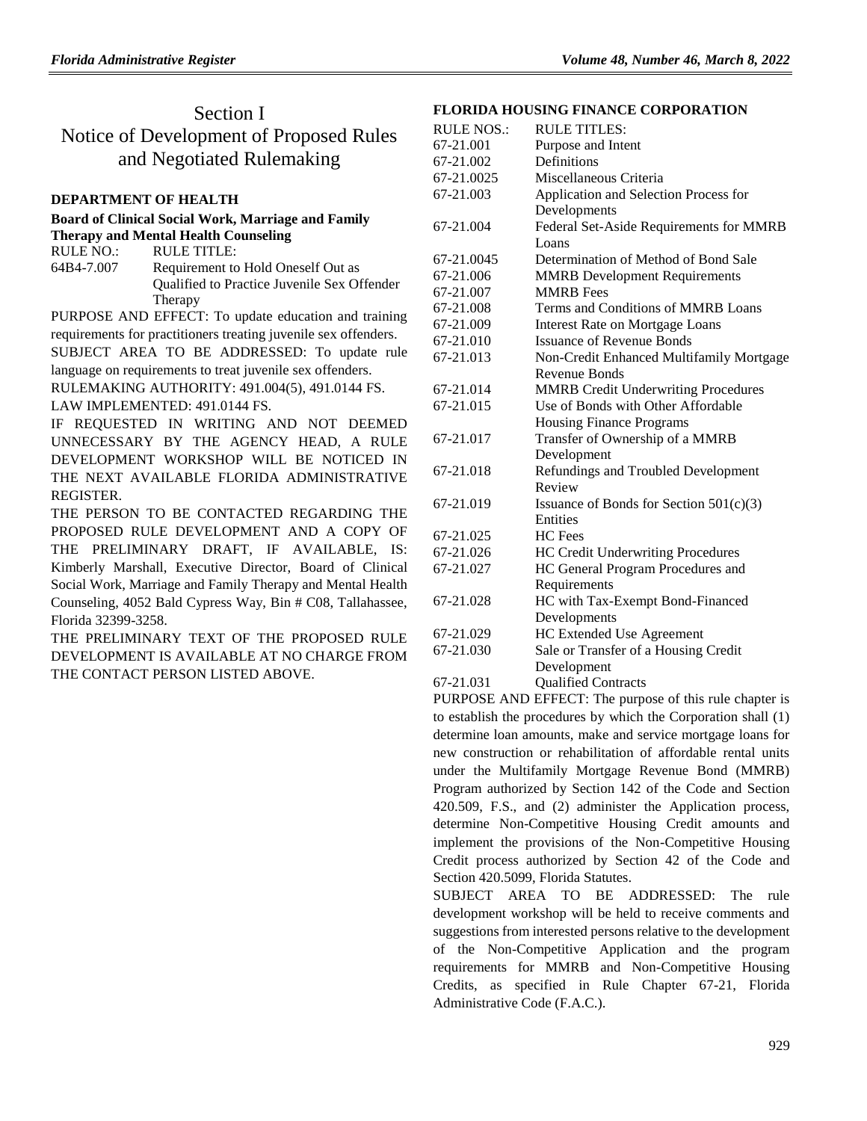## Section I

Notice of Development of Proposed Rules and Negotiated Rulemaking

### **[DEPARTMENT OF HEALTH](https://www.flrules.org/gateway/department.asp?id=64)**

#### **[Board of Clinical Social Work, Marriage and Family](https://www.flrules.org/gateway/organization.asp?id=327)  [Therapy and Mental Health Counseling](https://www.flrules.org/gateway/organization.asp?id=327)**

RULE NO.: RULE TITLE: [64B4-7.007](https://www.flrules.org/gateway/ruleNo.asp?id=64B4-7.007) Requirement to Hold Oneself Out as Qualified to Practice Juvenile Sex Offender Therapy

PURPOSE AND EFFECT: To update education and training requirements for practitioners treating juvenile sex offenders.

SUBJECT AREA TO BE ADDRESSED: To update rule language on requirements to treat juvenile sex offenders.

RULEMAKING AUTHORITY: [491.004\(5\),](https://www.flrules.org/gateway/statute.asp?id=491.004(5)) [491.0144 FS.](https://www.flrules.org/gateway/statute.asp?id=%20491.0144%20FS.)

LAW IMPLEMENTED: [491.0144 FS.](https://www.flrules.org/gateway/statute.asp?id=491.0144%20FS.)

IF REQUESTED IN WRITING AND NOT DEEMED UNNECESSARY BY THE AGENCY HEAD, A RULE DEVELOPMENT WORKSHOP WILL BE NOTICED IN THE NEXT AVAILABLE FLORIDA ADMINISTRATIVE REGISTER.

THE PERSON TO BE CONTACTED REGARDING THE PROPOSED RULE DEVELOPMENT AND A COPY OF THE PRELIMINARY DRAFT, IF AVAILABLE, IS: Kimberly Marshall, Executive Director, Board of Clinical Social Work, Marriage and Family Therapy and Mental Health Counseling, 4052 Bald Cypress Way, Bin # C08, Tallahassee, Florida 32399-3258.

THE PRELIMINARY TEXT OF THE PROPOSED RULE DEVELOPMENT IS AVAILABLE AT NO CHARGE FROM THE CONTACT PERSON LISTED ABOVE.

### **[FLORIDA HOUSING FINANCE CORPORATION](https://www.flrules.org/gateway/department.asp?id=67)**

| <b>RULE NOS.:</b> | <b>RULE TITLES:</b>                        |
|-------------------|--------------------------------------------|
| 67-21.001         | Purpose and Intent                         |
| 67-21.002         | Definitions                                |
| 67-21.0025        | Miscellaneous Criteria                     |
| 67-21.003         | Application and Selection Process for      |
|                   | Developments                               |
| 67-21.004         | Federal Set-Aside Requirements for MMRB    |
|                   | Loans                                      |
| 67-21.0045        | Determination of Method of Bond Sale       |
| 67-21.006         | <b>MMRB</b> Development Requirements       |
| 67-21.007         | <b>MMRB</b> Fees                           |
| 67-21.008         | Terms and Conditions of MMRB Loans         |
| 67-21.009         | <b>Interest Rate on Mortgage Loans</b>     |
| 67-21.010         | <b>Issuance of Revenue Bonds</b>           |
| 67-21.013         | Non-Credit Enhanced Multifamily Mortgage   |
|                   | Revenue Bonds                              |
| 67-21.014         | <b>MMRB</b> Credit Underwriting Procedures |
| 67-21.015         | Use of Bonds with Other Affordable         |
|                   | <b>Housing Finance Programs</b>            |
| 67-21.017         | Transfer of Ownership of a MMRB            |
|                   | Development                                |
| 67-21.018         | Refundings and Troubled Development        |
|                   | Review                                     |
| 67-21.019         | Issuance of Bonds for Section 501(c)(3)    |
|                   | Entities                                   |
| 67-21.025         | HC Fees                                    |
| 67-21.026         | HC Credit Underwriting Procedures          |
| 67-21.027         | HC General Program Procedures and          |
|                   | Requirements                               |
| 67-21.028         | HC with Tax-Exempt Bond-Financed           |
|                   | Developments                               |
| 67-21.029         | <b>HC Extended Use Agreement</b>           |
| 67-21.030         | Sale or Transfer of a Housing Credit       |
|                   | Development                                |
| 67-21.031         | <b>Qualified Contracts</b>                 |
|                   |                                            |

PURPOSE AND EFFECT: The purpose of this rule chapter is to establish the procedures by which the Corporation shall (1) determine loan amounts, make and service mortgage loans for new construction or rehabilitation of affordable rental units under the Multifamily Mortgage Revenue Bond (MMRB) Program authorized by Section 142 of the Code and Section 420.509, F.S., and (2) administer the Application process, determine Non-Competitive Housing Credit amounts and implement the provisions of the Non-Competitive Housing Credit process authorized by Section 42 of the Code and Section 420.5099, Florida Statutes.

SUBJECT AREA TO BE ADDRESSED: The rule development workshop will be held to receive comments and suggestions from interested persons relative to the development of the Non-Competitive Application and the program requirements for MMRB and Non-Competitive Housing Credits, as specified in Rule Chapter 67-21, Florida Administrative Code (F.A.C.).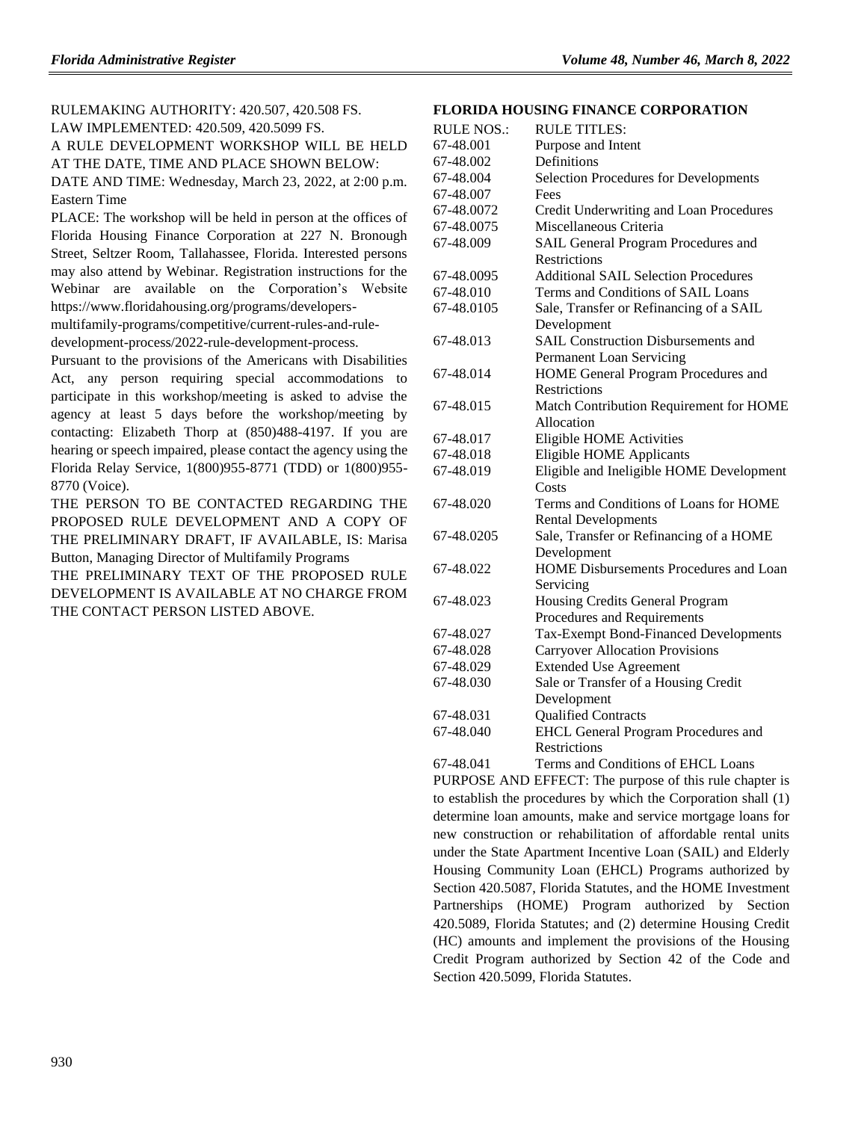RULEMAKING AUTHORITY: [420.507,](https://www.flrules.org/gateway/statute.asp?id=420.507) [420.508 FS.](https://www.flrules.org/gateway/statute.asp?id=%20420.508%20FS.) LAW IMPLEMENTED: [420.509,](https://www.flrules.org/gateway/statute.asp?id=420.509) [420.5099 FS.](https://www.flrules.org/gateway/statute.asp?id=%20420.5099%20FS.) A RULE DEVELOPMENT WORKSHOP WILL BE HELD AT THE DATE, TIME AND PLACE SHOWN BELOW: DATE AND TIME: Wednesday, March 23, 2022, at 2:00 p.m. Eastern Time

PLACE: The workshop will be held in person at the offices of Florida Housing Finance Corporation at 227 N. Bronough Street, Seltzer Room, Tallahassee, Florida. Interested persons may also attend by Webinar. Registration instructions for the Webinar are available on the Corporation's Website https://www.floridahousing.org/programs/developers-

multifamily-programs/competitive/current-rules-and-ruledevelopment-process/2022-rule-development-process.

Pursuant to the provisions of the Americans with Disabilities Act, any person requiring special accommodations to participate in this workshop/meeting is asked to advise the agency at least 5 days before the workshop/meeting by contacting: Elizabeth Thorp at (850)488-4197. If you are hearing or speech impaired, please contact the agency using the Florida Relay Service, 1(800)955-8771 (TDD) or 1(800)955- 8770 (Voice).

THE PERSON TO BE CONTACTED REGARDING THE PROPOSED RULE DEVELOPMENT AND A COPY OF THE PRELIMINARY DRAFT, IF AVAILABLE, IS: Marisa Button, Managing Director of Multifamily Programs

THE PRELIMINARY TEXT OF THE PROPOSED RULE DEVELOPMENT IS AVAILABLE AT NO CHARGE FROM THE CONTACT PERSON LISTED ABOVE.

#### **[FLORIDA HOUSING FINANCE CORPORATION](https://www.flrules.org/gateway/department.asp?id=67)**

| <b>RULE TITLES:</b>                          |
|----------------------------------------------|
| Purpose and Intent                           |
| Definitions                                  |
| <b>Selection Procedures for Developments</b> |
| Fees                                         |
| Credit Underwriting and Loan Procedures      |
| Miscellaneous Criteria                       |
| SAIL General Program Procedures and          |
| Restrictions                                 |
| <b>Additional SAIL Selection Procedures</b>  |
| Terms and Conditions of SAIL Loans           |
| Sale, Transfer or Refinancing of a SAIL      |
| Development                                  |
| <b>SAIL Construction Disbursements and</b>   |
| Permanent Loan Servicing                     |
| HOME General Program Procedures and          |
| <b>Restrictions</b>                          |
| Match Contribution Requirement for HOME      |
| Allocation                                   |
| <b>Eligible HOME Activities</b>              |
| <b>Eligible HOME Applicants</b>              |
| Eligible and Ineligible HOME Development     |
| Costs                                        |
| Terms and Conditions of Loans for HOME       |
| <b>Rental Developments</b>                   |
| Sale, Transfer or Refinancing of a HOME      |
| Development                                  |
| HOME Disbursements Procedures and Loan       |
| Servicing                                    |
| Housing Credits General Program              |
| Procedures and Requirements                  |
| <b>Tax-Exempt Bond-Financed Developments</b> |
| <b>Carryover Allocation Provisions</b>       |
| <b>Extended Use Agreement</b>                |
| Sale or Transfer of a Housing Credit         |
| Development                                  |
| <b>Qualified Contracts</b>                   |
| <b>EHCL General Program Procedures and</b>   |
| <b>Restrictions</b>                          |
|                                              |

[67-48.041](https://www.flrules.org/gateway/ruleNo.asp?id=67-48.041) Terms and Conditions of EHCL Loans PURPOSE AND EFFECT: The purpose of this rule chapter is to establish the procedures by which the Corporation shall (1) determine loan amounts, make and service mortgage loans for new construction or rehabilitation of affordable rental units under the State Apartment Incentive Loan (SAIL) and Elderly Housing Community Loan (EHCL) Programs authorized by Section 420.5087, Florida Statutes, and the HOME Investment Partnerships (HOME) Program authorized by Section 420.5089, Florida Statutes; and (2) determine Housing Credit (HC) amounts and implement the provisions of the Housing Credit Program authorized by Section 42 of the Code and Section 420.5099, Florida Statutes.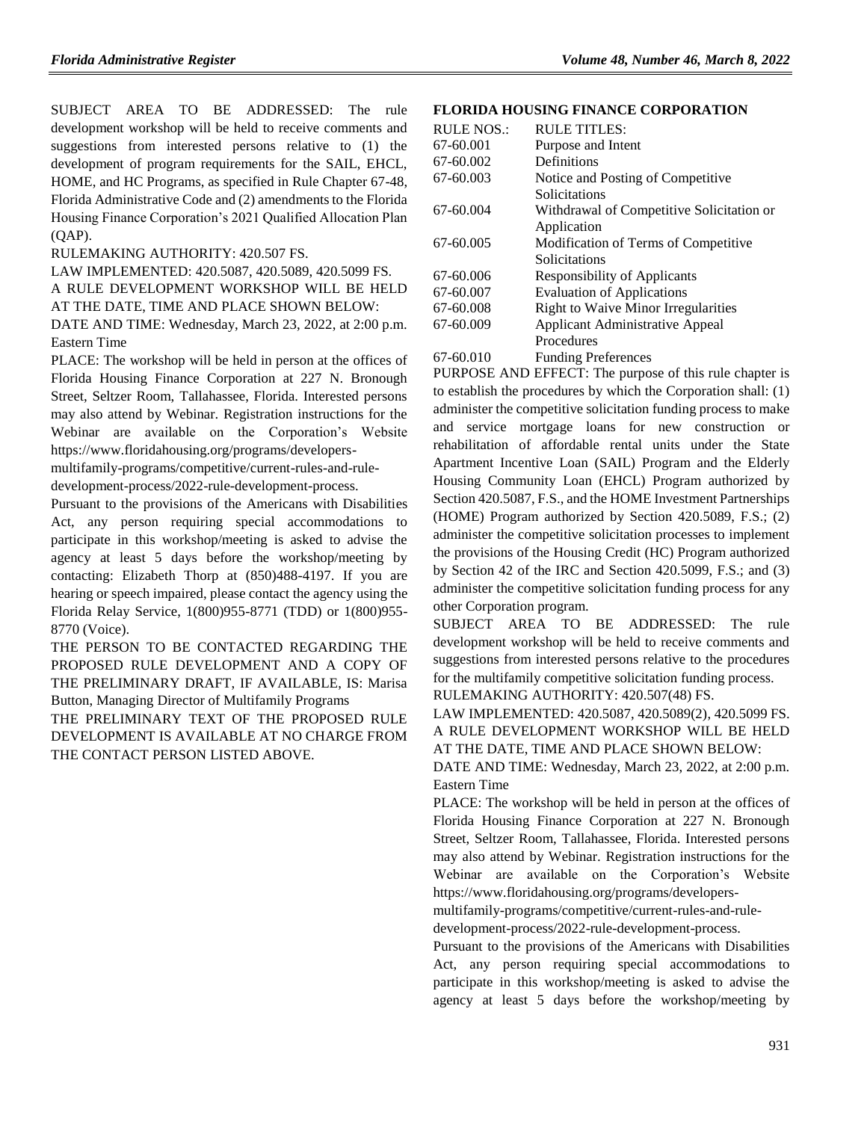SUBJECT AREA TO BE ADDRESSED: The rule development workshop will be held to receive comments and suggestions from interested persons relative to (1) the development of program requirements for the SAIL, EHCL, HOME, and HC Programs, as specified in Rule Chapter 67-48, Florida Administrative Code and (2) amendments to the Florida Housing Finance Corporation's 2021 Qualified Allocation Plan (QAP).

RULEMAKING AUTHORITY: [420.507 FS.](https://www.flrules.org/gateway/statute.asp?id=420.507%20FS.)

LAW IMPLEMENTED: [420.5087,](https://www.flrules.org/gateway/statute.asp?id=420.5087) [420.5089,](https://www.flrules.org/gateway/statute.asp?id=%20420.5089) [420.5099 FS.](https://www.flrules.org/gateway/statute.asp?id=%20420.5099%20FS.)

A RULE DEVELOPMENT WORKSHOP WILL BE HELD AT THE DATE, TIME AND PLACE SHOWN BELOW:

DATE AND TIME: Wednesday, March 23, 2022, at 2:00 p.m. Eastern Time

PLACE: The workshop will be held in person at the offices of Florida Housing Finance Corporation at 227 N. Bronough Street, Seltzer Room, Tallahassee, Florida. Interested persons may also attend by Webinar. Registration instructions for the Webinar are available on the Corporation's Website https://www.floridahousing.org/programs/developers-

multifamily-programs/competitive/current-rules-and-ruledevelopment-process/2022-rule-development-process.

Pursuant to the provisions of the Americans with Disabilities Act, any person requiring special accommodations to participate in this workshop/meeting is asked to advise the agency at least 5 days before the workshop/meeting by contacting: Elizabeth Thorp at (850)488-4197. If you are hearing or speech impaired, please contact the agency using the Florida Relay Service, 1(800)955-8771 (TDD) or 1(800)955- 8770 (Voice).

THE PERSON TO BE CONTACTED REGARDING THE PROPOSED RULE DEVELOPMENT AND A COPY OF THE PRELIMINARY DRAFT, IF AVAILABLE, IS: Marisa Button, Managing Director of Multifamily Programs

THE PRELIMINARY TEXT OF THE PROPOSED RULE DEVELOPMENT IS AVAILABLE AT NO CHARGE FROM THE CONTACT PERSON LISTED ABOVE.

#### **[FLORIDA HOUSING FINANCE CORPORATION](https://www.flrules.org/gateway/department.asp?id=67)**

| <b>RULE NOS.:</b> | RULE TITLES:                               |
|-------------------|--------------------------------------------|
| 67-60.001         | Purpose and Intent                         |
| 67-60.002         | Definitions                                |
| 67-60.003         | Notice and Posting of Competitive          |
|                   | Solicitations                              |
| 67-60.004         | Withdrawal of Competitive Solicitation or  |
|                   | Application                                |
| 67-60.005         | Modification of Terms of Competitive       |
|                   | Solicitations                              |
| 67-60.006         | <b>Responsibility of Applicants</b>        |
| 67-60.007         | <b>Evaluation of Applications</b>          |
| 67-60.008         | <b>Right to Waive Minor Irregularities</b> |
| 67-60.009         | Applicant Administrative Appeal            |
|                   | Procedures                                 |
| 67-60.010         | <b>Funding Preferences</b>                 |

PURPOSE AND EFFECT: The purpose of this rule chapter is to establish the procedures by which the Corporation shall: (1) administer the competitive solicitation funding process to make and service mortgage loans for new construction or rehabilitation of affordable rental units under the State Apartment Incentive Loan (SAIL) Program and the Elderly Housing Community Loan (EHCL) Program authorized by Section 420.5087, F.S., and the HOME Investment Partnerships (HOME) Program authorized by Section 420.5089, F.S.; (2) administer the competitive solicitation processes to implement the provisions of the Housing Credit (HC) Program authorized by Section 42 of the IRC and Section 420.5099, F.S.; and (3) administer the competitive solicitation funding process for any other Corporation program.

SUBJECT AREA TO BE ADDRESSED: The rule development workshop will be held to receive comments and suggestions from interested persons relative to the procedures for the multifamily competitive solicitation funding process. RULEMAKING AUTHORITY: [420.507\(48\) FS.](https://www.flrules.org/gateway/statute.asp?id=420.507(48)%20FS.)

LAW IMPLEMENTED: [420.5087,](https://www.flrules.org/gateway/statute.asp?id=420.5087) [420.5089\(2\),](https://www.flrules.org/gateway/statute.asp?id=%20420.5089(2)) [420.5099 FS.](https://www.flrules.org/gateway/statute.asp?id=%20420.5099%20FS.) A RULE DEVELOPMENT WORKSHOP WILL BE HELD AT THE DATE, TIME AND PLACE SHOWN BELOW:

DATE AND TIME: Wednesday, March 23, 2022, at 2:00 p.m. Eastern Time

PLACE: The workshop will be held in person at the offices of Florida Housing Finance Corporation at 227 N. Bronough Street, Seltzer Room, Tallahassee, Florida. Interested persons may also attend by Webinar. Registration instructions for the Webinar are available on the Corporation's Website https://www.floridahousing.org/programs/developers-

multifamily-programs/competitive/current-rules-and-ruledevelopment-process/2022-rule-development-process.

Pursuant to the provisions of the Americans with Disabilities Act, any person requiring special accommodations to participate in this workshop/meeting is asked to advise the agency at least 5 days before the workshop/meeting by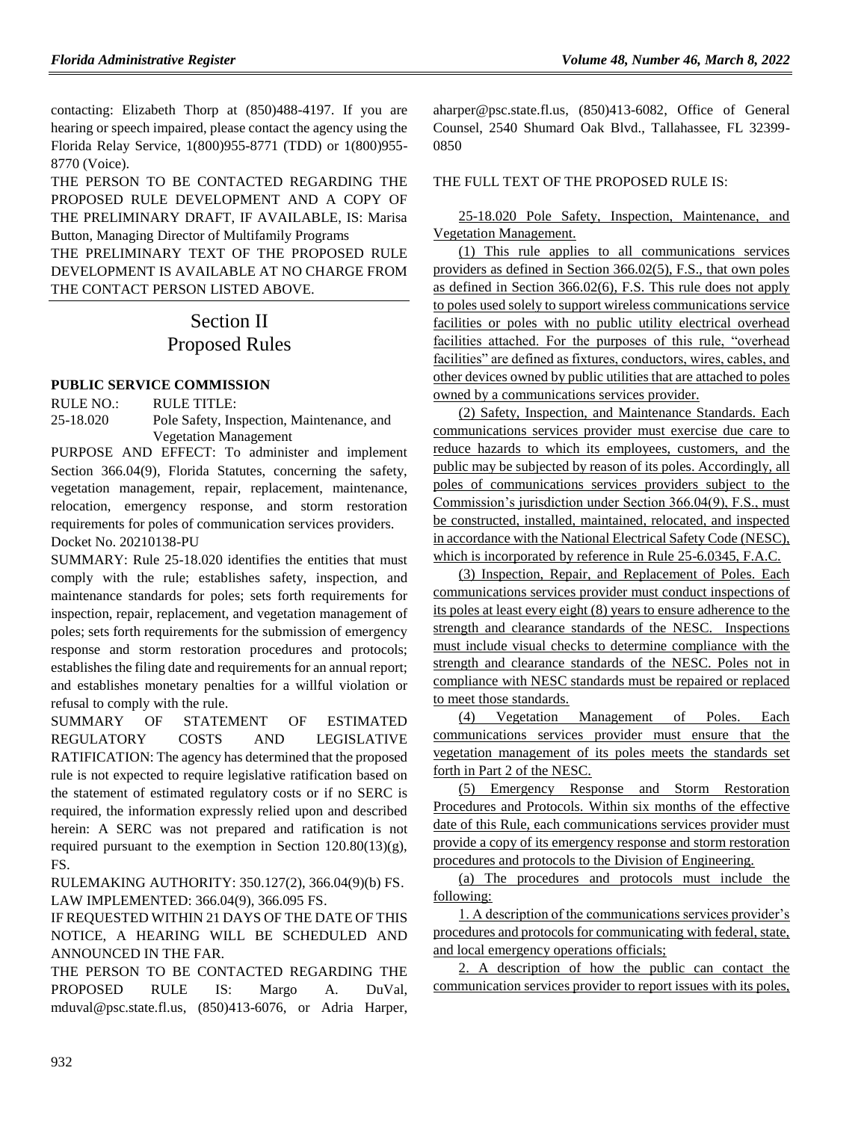contacting: Elizabeth Thorp at (850)488-4197. If you are hearing or speech impaired, please contact the agency using the Florida Relay Service, 1(800)955-8771 (TDD) or 1(800)955- 8770 (Voice).

THE PERSON TO BE CONTACTED REGARDING THE PROPOSED RULE DEVELOPMENT AND A COPY OF THE PRELIMINARY DRAFT, IF AVAILABLE, IS: Marisa Button, Managing Director of Multifamily Programs THE PRELIMINARY TEXT OF THE PROPOSED RULE DEVELOPMENT IS AVAILABLE AT NO CHARGE FROM THE CONTACT PERSON LISTED ABOVE.

# Section II Proposed Rules

### **[PUBLIC SERVICE COMMISSION](https://www.flrules.org/gateway/department.asp?id=25)**

RULE NO.: RULE TITLE: 25-18.020 Pole Safety, Inspection, Maintenance, and Vegetation Management

PURPOSE AND EFFECT: To administer and implement Section 366.04(9), Florida Statutes, concerning the safety, vegetation management, repair, replacement, maintenance, relocation, emergency response, and storm restoration requirements for poles of communication services providers. Docket No. 20210138-PU

SUMMARY: Rule 25-18.020 identifies the entities that must comply with the rule; establishes safety, inspection, and maintenance standards for poles; sets forth requirements for inspection, repair, replacement, and vegetation management of poles; sets forth requirements for the submission of emergency response and storm restoration procedures and protocols; establishes the filing date and requirements for an annual report; and establishes monetary penalties for a willful violation or refusal to comply with the rule.

SUMMARY OF STATEMENT OF ESTIMATED REGULATORY COSTS AND LEGISLATIVE RATIFICATION: The agency has determined that the proposed rule is not expected to require legislative ratification based on the statement of estimated regulatory costs or if no SERC is required, the information expressly relied upon and described herein: A SERC was not prepared and ratification is not required pursuant to the exemption in Section 120.80(13)(g), FS.

RULEMAKING AUTHORITY: 350.127(2), 366.04(9)(b) FS. LAW IMPLEMENTED: 366.04(9), 366.095 FS.

IF REQUESTED WITHIN 21 DAYS OF THE DATE OF THIS NOTICE, A HEARING WILL BE SCHEDULED AND ANNOUNCED IN THE FAR.

THE PERSON TO BE CONTACTED REGARDING THE PROPOSED RULE IS: Margo A. DuVal, [mduval@psc.state.fl.us,](mailto:mduval@psc.state.fl.us) (850)413-6076, or Adria Harper, [aharper@psc.state.fl.us,](mailto:aharper@psc.state.fl.us) (850)413-6082, Office of General Counsel, 2540 Shumard Oak Blvd., Tallahassee, FL 32399- 0850

#### THE FULL TEXT OF THE PROPOSED RULE IS:

25-18.020 Pole Safety, Inspection, Maintenance, and Vegetation Management.

(1) This rule applies to all communications services providers as defined in Section 366.02(5), F.S., that own poles as defined in Section 366.02(6), F.S. This rule does not apply to poles used solely to support wireless communications service facilities or poles with no public utility electrical overhead facilities attached. For the purposes of this rule, "overhead facilities" are defined as fixtures, conductors, wires, cables, and other devices owned by public utilities that are attached to poles owned by a communications services provider.

(2) Safety, Inspection, and Maintenance Standards. Each communications services provider must exercise due care to reduce hazards to which its employees, customers, and the public may be subjected by reason of its poles. Accordingly, all poles of communications services providers subject to the Commission's jurisdiction under Section 366.04(9), F.S., must be constructed, installed, maintained, relocated, and inspected in accordance with the National Electrical Safety Code (NESC), which is incorporated by reference in Rule 25-6.0345, F.A.C.

(3) Inspection, Repair, and Replacement of Poles. Each communications services provider must conduct inspections of its poles at least every eight (8) years to ensure adherence to the strength and clearance standards of the NESC. Inspections must include visual checks to determine compliance with the strength and clearance standards of the NESC. Poles not in compliance with NESC standards must be repaired or replaced to meet those standards.

(4) Vegetation Management of Poles. Each communications services provider must ensure that the vegetation management of its poles meets the standards set forth in Part 2 of the NESC.

(5) Emergency Response and Storm Restoration Procedures and Protocols. Within six months of the effective date of this Rule, each communications services provider must provide a copy of its emergency response and storm restoration procedures and protocols to the Division of Engineering.

(a) The procedures and protocols must include the following:

1. A description of the communications services provider's procedures and protocols for communicating with federal, state, and local emergency operations officials;

2. A description of how the public can contact the communication services provider to report issues with its poles,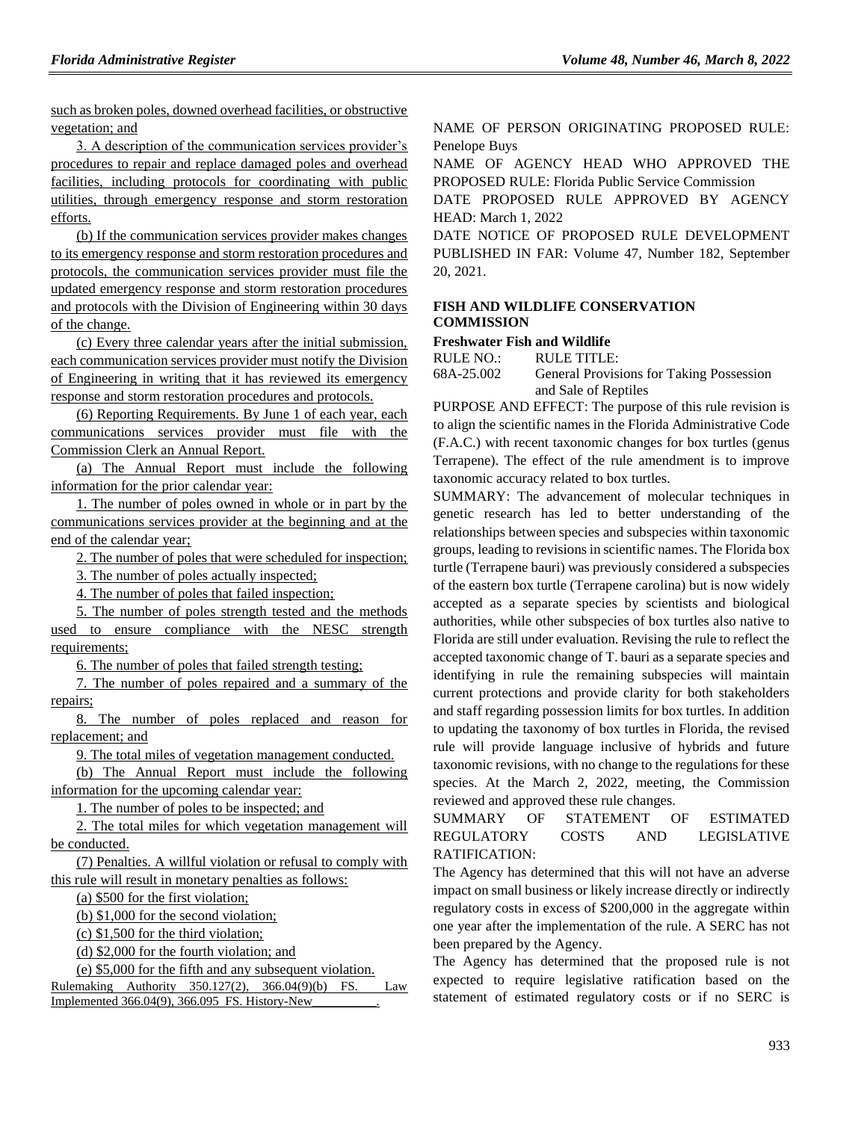such as broken poles, downed overhead facilities, or obstructive vegetation; and

3. A description of the communication services provider's procedures to repair and replace damaged poles and overhead facilities, including protocols for coordinating with public utilities, through emergency response and storm restoration efforts.

(b) If the communication services provider makes changes to its emergency response and storm restoration procedures and protocols, the communication services provider must file the updated emergency response and storm restoration procedures and protocols with the Division of Engineering within 30 days of the change.

(c) Every three calendar years after the initial submission, each communication services provider must notify the Division of Engineering in writing that it has reviewed its emergency response and storm restoration procedures and protocols.

(6) Reporting Requirements. By June 1 of each year, each communications services provider must file with the Commission Clerk an Annual Report.

(a) The Annual Report must include the following information for the prior calendar year:

1. The number of poles owned in whole or in part by the communications services provider at the beginning and at the end of the calendar year;

2. The number of poles that were scheduled for inspection;

3. The number of poles actually inspected;

4. The number of poles that failed inspection;

5. The number of poles strength tested and the methods used to ensure compliance with the NESC strength requirements;

6. The number of poles that failed strength testing;

7. The number of poles repaired and a summary of the repairs;

8. The number of poles replaced and reason for replacement; and

9. The total miles of vegetation management conducted.

(b) The Annual Report must include the following information for the upcoming calendar year:

1. The number of poles to be inspected; and

2. The total miles for which vegetation management will be conducted.

(7) Penalties. A willful violation or refusal to comply with this rule will result in monetary penalties as follows:

(a) \$500 for the first violation;

(b) \$1,000 for the second violation;

(c) \$1,500 for the third violation;

(d) \$2,000 for the fourth violation; and

(e) \$5,000 for the fifth and any subsequent violation.

Rulemaking Authority 350.127(2), 366.04(9)(b) FS. Law Implemented 366.04(9), 366.095 FS. History-New\_\_\_\_\_\_\_\_\_\_.

NAME OF PERSON ORIGINATING PROPOSED RULE: Penelope Buys

NAME OF AGENCY HEAD WHO APPROVED THE PROPOSED RULE: Florida Public Service Commission

DATE PROPOSED RULE APPROVED BY AGENCY HEAD: March 1, 2022

DATE NOTICE OF PROPOSED RULE DEVELOPMENT PUBLISHED IN FAR: Volume 47, Number 182, September 20, 2021.

### **[FISH AND WILDLIFE CONSERVATION](https://www.flrules.org/gateway/department.asp?id=68)  [COMMISSION](https://www.flrules.org/gateway/department.asp?id=68)**

#### **[Freshwater Fish and Wildlife](https://www.flrules.org/gateway/organization.asp?id=347)**

RULE NO.: RULE TITLE:

[68A-25.002](https://www.flrules.org/gateway/ruleNo.asp?id=68A-25.002) General Provisions for Taking Possession and Sale of Reptiles

PURPOSE AND EFFECT: The purpose of this rule revision is to align the scientific names in the Florida Administrative Code (F.A.C.) with recent taxonomic changes for box turtles (genus Terrapene). The effect of the rule amendment is to improve taxonomic accuracy related to box turtles.

SUMMARY: The advancement of molecular techniques in genetic research has led to better understanding of the relationships between species and subspecies within taxonomic groups, leading to revisions in scientific names. The Florida box turtle (Terrapene bauri) was previously considered a subspecies of the eastern box turtle (Terrapene carolina) but is now widely accepted as a separate species by scientists and biological authorities, while other subspecies of box turtles also native to Florida are still under evaluation. Revising the rule to reflect the accepted taxonomic change of T. bauri as a separate species and identifying in rule the remaining subspecies will maintain current protections and provide clarity for both stakeholders and staff regarding possession limits for box turtles. In addition to updating the taxonomy of box turtles in Florida, the revised rule will provide language inclusive of hybrids and future taxonomic revisions, with no change to the regulations for these species. At the March 2, 2022, meeting, the Commission reviewed and approved these rule changes.

SUMMARY OF STATEMENT OF ESTIMATED REGULATORY COSTS AND LEGISLATIVE RATIFICATION:

The Agency has determined that this will not have an adverse impact on small business or likely increase directly or indirectly regulatory costs in excess of \$200,000 in the aggregate within one year after the implementation of the rule. A SERC has not been prepared by the Agency.

The Agency has determined that the proposed rule is not expected to require legislative ratification based on the statement of estimated regulatory costs or if no SERC is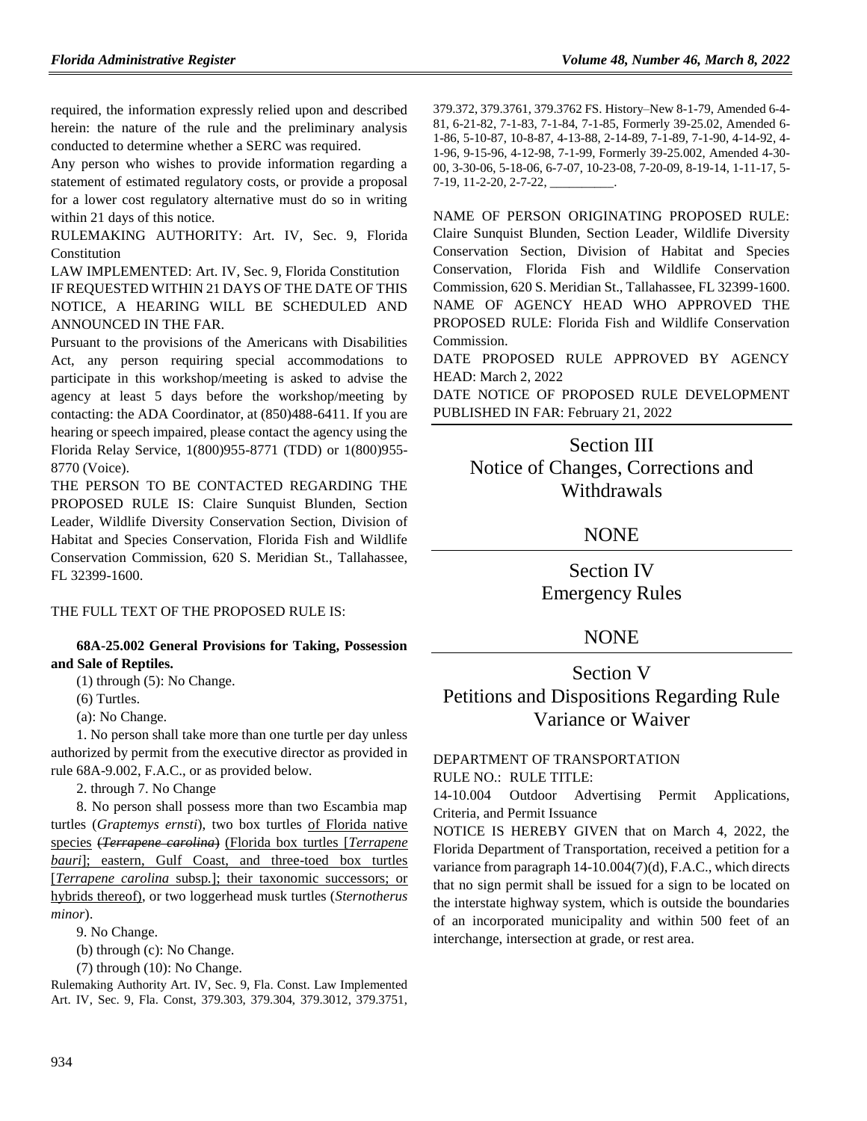required, the information expressly relied upon and described herein: the nature of the rule and the preliminary analysis conducted to determine whether a SERC was required.

Any person who wishes to provide information regarding a statement of estimated regulatory costs, or provide a proposal for a lower cost regulatory alternative must do so in writing within 21 days of this notice.

RULEMAKING AUTHORITY: [Art. IV, Sec. 9, Florida](https://www.flrules.org/gateway/flconstitution.asp?id=Art.%20IV,%20Sec.%209,%20Florida%20Constitution)  [Constitution](https://www.flrules.org/gateway/flconstitution.asp?id=Art.%20IV,%20Sec.%209,%20Florida%20Constitution)

LAW IMPLEMENTED: [Art. IV, Sec. 9, Florida Constitution](https://www.flrules.org/gateway/flconstitution.asp?id=Art.%20IV,%20Sec.%209,%20Florida%20Constitution) IF REQUESTED WITHIN 21 DAYS OF THE DATE OF THIS NOTICE, A HEARING WILL BE SCHEDULED AND ANNOUNCED IN THE FAR.

Pursuant to the provisions of the Americans with Disabilities Act, any person requiring special accommodations to participate in this workshop/meeting is asked to advise the agency at least 5 days before the workshop/meeting by contacting: the ADA Coordinator, at (850)488-6411. If you are hearing or speech impaired, please contact the agency using the Florida Relay Service, 1(800)955-8771 (TDD) or 1(800)955- 8770 (Voice).

THE PERSON TO BE CONTACTED REGARDING THE PROPOSED RULE IS: Claire Sunquist Blunden, Section Leader, Wildlife Diversity Conservation Section, Division of Habitat and Species Conservation, Florida Fish and Wildlife Conservation Commission, 620 S. Meridian St., Tallahassee, FL 32399-1600.

THE FULL TEXT OF THE PROPOSED RULE IS:

#### **68A-25.002 General Provisions for Taking, Possession and Sale of Reptiles.**

(1) through (5): No Change.

(6) Turtles.

(a): No Change.

1. No person shall take more than one turtle per day unless authorized by permit from the executive director as provided in rule 68A-9.002, F.A.C., or as provided below.

2. through 7. No Change

8. No person shall possess more than two Escambia map turtles (*Graptemys ernsti*), two box turtles of Florida native species (*Terrapene carolina*) (Florida box turtles [*Terrapene bauri*]; eastern, Gulf Coast, and three-toed box turtles [*Terrapene carolina* subsp*.*]; their taxonomic successors; or hybrids thereof), or two loggerhead musk turtles (*Sternotherus minor*).

9. No Change.

(b) through (c): No Change.

(7) through (10): No Change.

Rulemaking Authority Art. IV, Sec. 9, Fla. Const. Law Implemented Art. IV, Sec. 9, Fla. Const, 379.303, 379.304, 379.3012, 379.3751, 379.372, 379.3761, 379.3762 FS. History–New 8-1-79, Amended 6-4- 81, 6-21-82, 7-1-83, 7-1-84, 7-1-85, Formerly 39-25.02, Amended 6- 1-86, 5-10-87, 10-8-87, 4-13-88, 2-14-89, 7-1-89, 7-1-90, 4-14-92, 4- 1-96, 9-15-96, 4-12-98, 7-1-99, Formerly 39-25.002, Amended 4-30- 00, 3-30-06, 5-18-06, 6-7-07, 10-23-08, 7-20-09, 8-19-14, 1-11-17, 5- 7-19, 11-2-20, 2-7-22, \_\_\_\_\_\_\_\_\_\_.

NAME OF PERSON ORIGINATING PROPOSED RULE: Claire Sunquist Blunden, Section Leader, Wildlife Diversity Conservation Section, Division of Habitat and Species Conservation, Florida Fish and Wildlife Conservation Commission, 620 S. Meridian St., Tallahassee, FL 32399-1600. NAME OF AGENCY HEAD WHO APPROVED THE PROPOSED RULE: Florida Fish and Wildlife Conservation Commission.

DATE PROPOSED RULE APPROVED BY AGENCY HEAD: March 2, 2022

DATE NOTICE OF PROPOSED RULE DEVELOPMENT PUBLISHED IN FAR: February 21, 2022

# Section III Notice of Changes, Corrections and Withdrawals

## **NONE**

Section IV Emergency Rules

## **NONE**

# Section V Petitions and Dispositions Regarding Rule Variance or Waiver

## [DEPARTMENT OF TRANSPORTATION](https://www.flrules.org/gateway/department.asp?id=14) RULE NO.: RULE TITLE:

[14-10.004](https://www.flrules.org/gateway/ruleNo.asp?id=14-10.004) Outdoor Advertising Permit Applications, Criteria, and Permit Issuance

NOTICE IS HEREBY GIVEN that on March 4, 2022, the Florida Department of Transportation, received a petition for a variance from paragraph 14-10.004(7)(d), F.A.C., which directs that no sign permit shall be issued for a sign to be located on the interstate highway system, which is outside the boundaries of an incorporated municipality and within 500 feet of an interchange, intersection at grade, or rest area.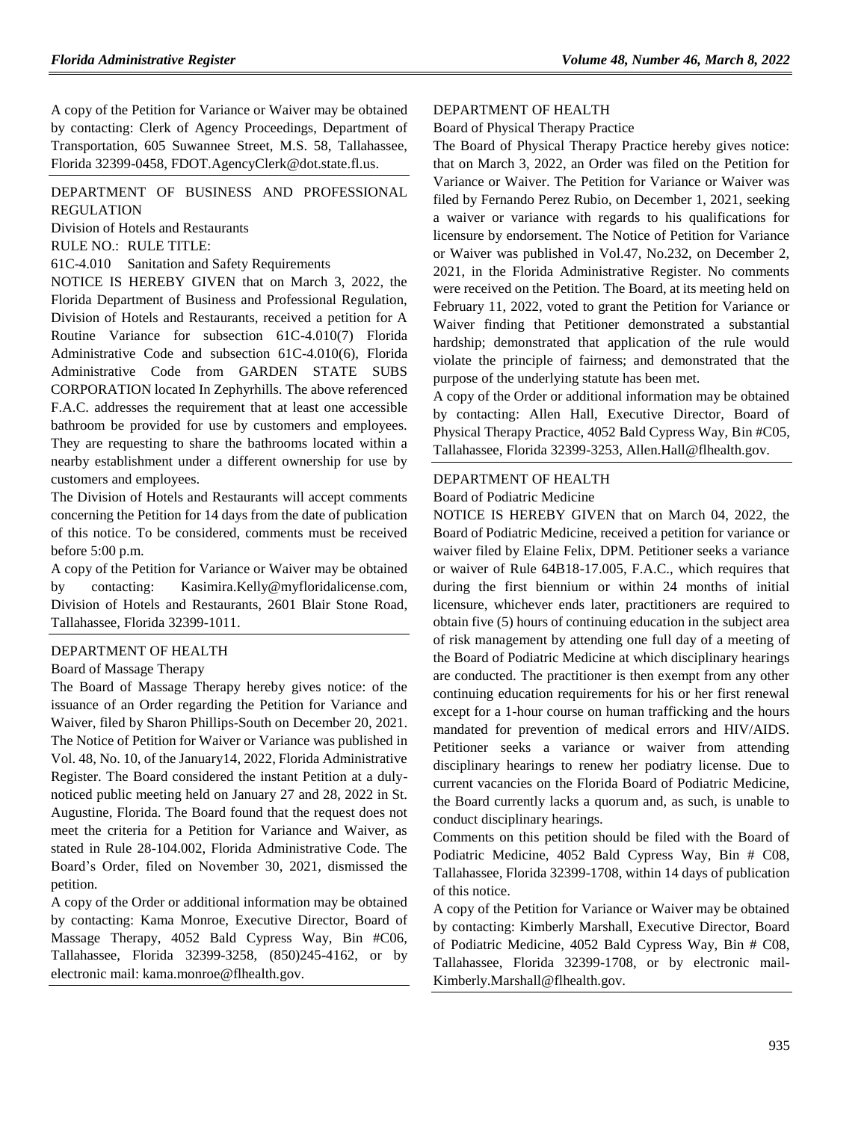A copy of the Petition for Variance or Waiver may be obtained by contacting: Clerk of Agency Proceedings, Department of Transportation, 605 Suwannee Street, M.S. 58, Tallahassee, Florida 32399-0458, FDOT.AgencyClerk@dot.state.fl.us.

### [DEPARTMENT OF BUSINESS AND PROFESSIONAL](https://www.flrules.org/gateway/department.asp?id=61)  [REGULATION](https://www.flrules.org/gateway/department.asp?id=61)

[Division of Hotels and Restaurants](https://www.flrules.org/gateway/organization.asp?id=249)

RULE NO.: RULE TITLE:

[61C-4.010](https://www.flrules.org/gateway/ruleNo.asp?id=61C-4.010) Sanitation and Safety Requirements

NOTICE IS HEREBY GIVEN that on March 3, 2022, the Florida Department of Business and Professional Regulation, Division of Hotels and Restaurants, received a petition for A Routine Variance for subsection 61C-4.010(7) Florida Administrative Code and subsection 61C-4.010(6), Florida Administrative Code from GARDEN STATE SUBS CORPORATION located In Zephyrhills. The above referenced F.A.C. addresses the requirement that at least one accessible bathroom be provided for use by customers and employees. They are requesting to share the bathrooms located within a nearby establishment under a different ownership for use by customers and employees.

The Division of Hotels and Restaurants will accept comments concerning the Petition for 14 days from the date of publication of this notice. To be considered, comments must be received before 5:00 p.m.

A copy of the Petition for Variance or Waiver may be obtained by contacting: Kasimira.Kelly@myfloridalicense.com, Division of Hotels and Restaurants, 2601 Blair Stone Road, Tallahassee, Florida 32399-1011.

#### [DEPARTMENT OF HEALTH](https://www.flrules.org/gateway/department.asp?id=64)

#### [Board of Massage Therapy](https://www.flrules.org/gateway/organization.asp?id=330)

The Board of Massage Therapy hereby gives notice: of the issuance of an Order regarding the Petition for Variance and Waiver, filed by Sharon Phillips-South on December 20, 2021. The Notice of Petition for Waiver or Variance was published in Vol. 48, No. 10, of the January14, 2022, Florida Administrative Register. The Board considered the instant Petition at a dulynoticed public meeting held on January 27 and 28, 2022 in St. Augustine, Florida. The Board found that the request does not meet the criteria for a Petition for Variance and Waiver, as stated in Rule 28-104.002, Florida Administrative Code. The Board's Order, filed on November 30, 2021, dismissed the petition.

A copy of the Order or additional information may be obtained by contacting: Kama Monroe, Executive Director, Board of Massage Therapy, 4052 Bald Cypress Way, Bin #C06, Tallahassee, Florida 32399-3258, (850)245-4162, or by electronic mail: kama.monroe@flhealth.gov.

#### [DEPARTMENT OF HEALTH](https://www.flrules.org/gateway/department.asp?id=64)

[Board of Physical Therapy Practice](https://www.flrules.org/gateway/organization.asp?id=308)

The Board of Physical Therapy Practice hereby gives notice: that on March 3, 2022, an Order was filed on the Petition for Variance or Waiver. The Petition for Variance or Waiver was filed by Fernando Perez Rubio, on December 1, 2021, seeking a waiver or variance with regards to his qualifications for licensure by endorsement. The Notice of Petition for Variance or Waiver was published in Vol.47, No.232, on December 2, 2021, in the Florida Administrative Register. No comments were received on the Petition. The Board, at its meeting held on February 11, 2022, voted to grant the Petition for Variance or Waiver finding that Petitioner demonstrated a substantial hardship; demonstrated that application of the rule would violate the principle of fairness; and demonstrated that the purpose of the underlying statute has been met.

A copy of the Order or additional information may be obtained by contacting: Allen Hall, Executive Director, Board of Physical Therapy Practice, 4052 Bald Cypress Way, Bin #C05, Tallahassee, Florida 32399-3253, Allen.Hall@flhealth.gov.

#### [DEPARTMENT OF HEALTH](https://www.flrules.org/gateway/department.asp?id=64)

[Board of Podiatric Medicine](https://www.flrules.org/gateway/organization.asp?id=309)

NOTICE IS HEREBY GIVEN that on March 04, 2022, the Board of Podiatric Medicine, received a petition for variance or waiver filed by Elaine Felix, DPM. Petitioner seeks a variance or waiver of Rule 64B18-17.005, F.A.C., which requires that during the first biennium or within 24 months of initial licensure, whichever ends later, practitioners are required to obtain five (5) hours of continuing education in the subject area of risk management by attending one full day of a meeting of the Board of Podiatric Medicine at which disciplinary hearings are conducted. The practitioner is then exempt from any other continuing education requirements for his or her first renewal except for a 1-hour course on human trafficking and the hours mandated for prevention of medical errors and HIV/AIDS. Petitioner seeks a variance or waiver from attending disciplinary hearings to renew her podiatry license. Due to current vacancies on the Florida Board of Podiatric Medicine, the Board currently lacks a quorum and, as such, is unable to conduct disciplinary hearings.

Comments on this petition should be filed with the Board of Podiatric Medicine, 4052 Bald Cypress Way, Bin # C08, Tallahassee, Florida 32399-1708, within 14 days of publication of this notice.

A copy of the Petition for Variance or Waiver may be obtained by contacting: Kimberly Marshall, Executive Director, Board of Podiatric Medicine, 4052 Bald Cypress Way, Bin # C08, Tallahassee, Florida 32399-1708, or by electronic mail-Kimberly.Marshall@flhealth.gov.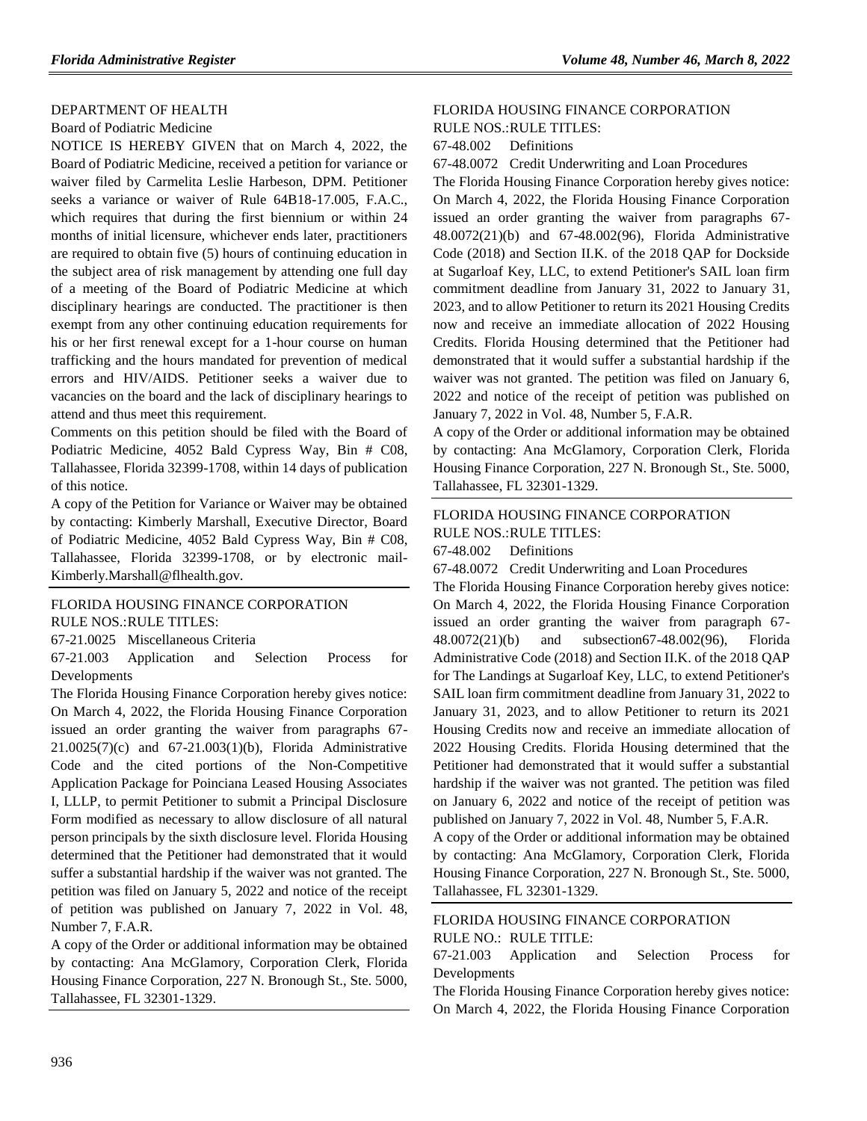#### [DEPARTMENT OF HEALTH](https://www.flrules.org/gateway/department.asp?id=64)

#### [Board of Podiatric Medicine](https://www.flrules.org/gateway/organization.asp?id=309)

NOTICE IS HEREBY GIVEN that on March 4, 2022, the Board of Podiatric Medicine, received a petition for variance or waiver filed by Carmelita Leslie Harbeson, DPM. Petitioner seeks a variance or waiver of Rule 64B18-17.005, F.A.C., which requires that during the first biennium or within 24 months of initial licensure, whichever ends later, practitioners are required to obtain five (5) hours of continuing education in the subject area of risk management by attending one full day of a meeting of the Board of Podiatric Medicine at which disciplinary hearings are conducted. The practitioner is then exempt from any other continuing education requirements for his or her first renewal except for a 1-hour course on human trafficking and the hours mandated for prevention of medical errors and HIV/AIDS. Petitioner seeks a waiver due to vacancies on the board and the lack of disciplinary hearings to attend and thus meet this requirement.

Comments on this petition should be filed with the Board of Podiatric Medicine, 4052 Bald Cypress Way, Bin # C08, Tallahassee, Florida 32399-1708, within 14 days of publication of this notice.

A copy of the Petition for Variance or Waiver may be obtained by contacting: Kimberly Marshall, Executive Director, Board of Podiatric Medicine, 4052 Bald Cypress Way, Bin # C08, Tallahassee, Florida 32399-1708, or by electronic mail-Kimberly.Marshall@flhealth.gov.

#### [FLORIDA HOUSING FINANCE CORPORATION](https://www.flrules.org/gateway/department.asp?id=67) RULE NOS.:RULE TITLES:

[67-21.0025](https://www.flrules.org/gateway/ruleNo.asp?id=67-21.0025) Miscellaneous Criteria

[67-21.003](https://www.flrules.org/gateway/ruleNo.asp?id=67-21.003) Application and Selection Process for Developments

The Florida Housing Finance Corporation hereby gives notice: On March 4, 2022, the Florida Housing Finance Corporation issued an order granting the waiver from paragraphs 67- 21.0025(7)(c) and 67-21.003(1)(b), Florida Administrative Code and the cited portions of the Non-Competitive Application Package for Poinciana Leased Housing Associates I, LLLP, to permit Petitioner to submit a Principal Disclosure Form modified as necessary to allow disclosure of all natural person principals by the sixth disclosure level. Florida Housing determined that the Petitioner had demonstrated that it would suffer a substantial hardship if the waiver was not granted. The petition was filed on January 5, 2022 and notice of the receipt of petition was published on January 7, 2022 in Vol. 48, Number 7, F.A.R.

A copy of the Order or additional information may be obtained by contacting: Ana McGlamory, Corporation Clerk, Florida Housing Finance Corporation, 227 N. Bronough St., Ste. 5000, Tallahassee, FL 32301-1329.

#### [FLORIDA HOUSING FINANCE CORPORATION](https://www.flrules.org/gateway/department.asp?id=67) RULE NOS.:RULE TITLES:

[67-48.002](https://www.flrules.org/gateway/ruleNo.asp?id=67-48.002) Definitions

[67-48.0072](https://www.flrules.org/gateway/ruleNo.asp?id=67-48.0072) Credit Underwriting and Loan Procedures

The Florida Housing Finance Corporation hereby gives notice: On March 4, 2022, the Florida Housing Finance Corporation issued an order granting the waiver from paragraphs 67- 48.0072(21)(b) and 67-48.002(96), Florida Administrative Code (2018) and Section II.K. of the 2018 QAP for Dockside at Sugarloaf Key, LLC, to extend Petitioner's SAIL loan firm commitment deadline from January 31, 2022 to January 31, 2023, and to allow Petitioner to return its 2021 Housing Credits now and receive an immediate allocation of 2022 Housing Credits. Florida Housing determined that the Petitioner had demonstrated that it would suffer a substantial hardship if the waiver was not granted. The petition was filed on January 6, 2022 and notice of the receipt of petition was published on January 7, 2022 in Vol. 48, Number 5, F.A.R.

A copy of the Order or additional information may be obtained by contacting: Ana McGlamory, Corporation Clerk, Florida Housing Finance Corporation, 227 N. Bronough St., Ste. 5000, Tallahassee, FL 32301-1329.

## [FLORIDA HOUSING FINANCE CORPORATION](https://www.flrules.org/gateway/department.asp?id=67) RULE NOS.:RULE TITLES:

[67-48.002](https://www.flrules.org/gateway/ruleNo.asp?id=67-48.002) Definitions

[67-48.0072](https://www.flrules.org/gateway/ruleNo.asp?id=67-48.0072) Credit Underwriting and Loan Procedures

The Florida Housing Finance Corporation hereby gives notice: On March 4, 2022, the Florida Housing Finance Corporation issued an order granting the waiver from paragraph 67- 48.0072(21)(b) and subsection67-48.002(96), Florida Administrative Code (2018) and Section II.K. of the 2018 QAP for The Landings at Sugarloaf Key, LLC, to extend Petitioner's SAIL loan firm commitment deadline from January 31, 2022 to January 31, 2023, and to allow Petitioner to return its 2021 Housing Credits now and receive an immediate allocation of 2022 Housing Credits. Florida Housing determined that the Petitioner had demonstrated that it would suffer a substantial hardship if the waiver was not granted. The petition was filed on January 6, 2022 and notice of the receipt of petition was published on January 7, 2022 in Vol. 48, Number 5, F.A.R.

A copy of the Order or additional information may be obtained by contacting: Ana McGlamory, Corporation Clerk, Florida Housing Finance Corporation, 227 N. Bronough St., Ste. 5000, Tallahassee, FL 32301-1329.

## [FLORIDA HOUSING FINANCE CORPORATION](https://www.flrules.org/gateway/department.asp?id=67) RULE NO.: RULE TITLE:

[67-21.003](https://www.flrules.org/gateway/ruleNo.asp?id=67-21.003) Application and Selection Process for Developments

The Florida Housing Finance Corporation hereby gives notice: On March 4, 2022, the Florida Housing Finance Corporation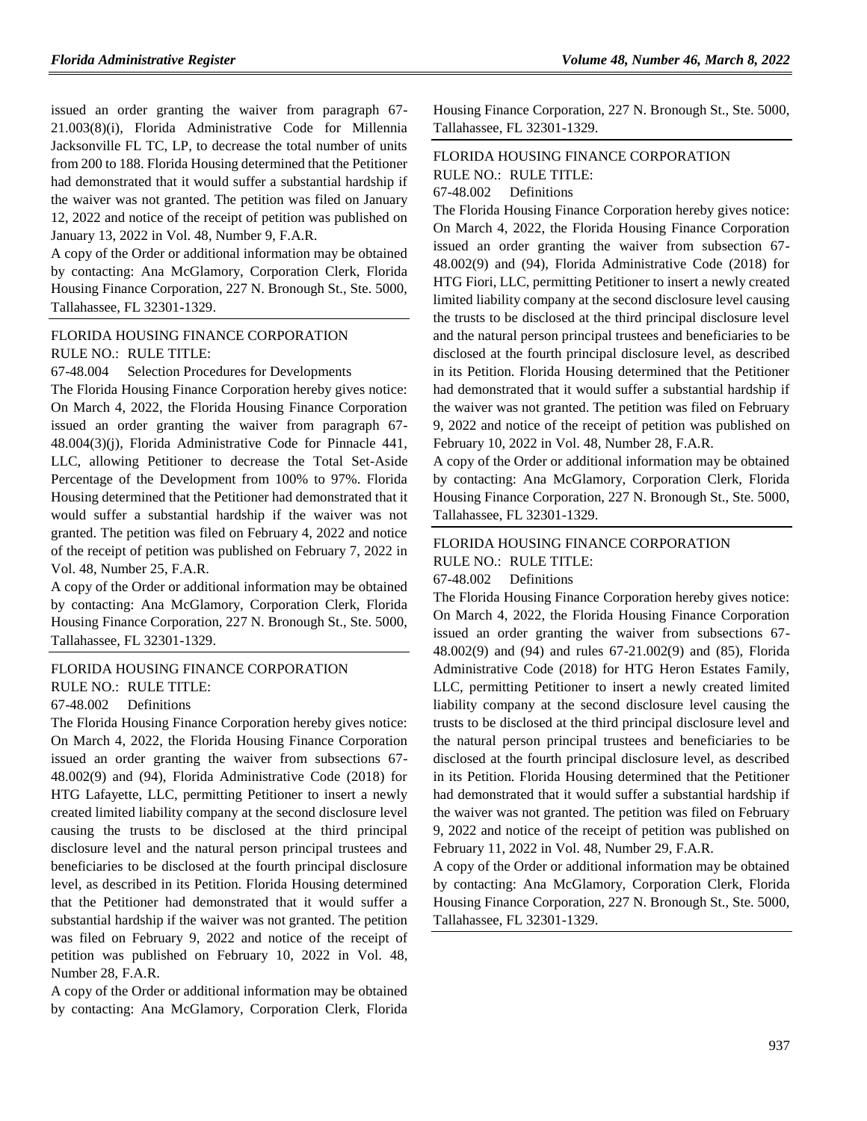issued an order granting the waiver from paragraph 67- 21.003(8)(i), Florida Administrative Code for Millennia Jacksonville FL TC, LP, to decrease the total number of units from 200 to 188. Florida Housing determined that the Petitioner had demonstrated that it would suffer a substantial hardship if the waiver was not granted. The petition was filed on January 12, 2022 and notice of the receipt of petition was published on January 13, 2022 in Vol. 48, Number 9, F.A.R.

A copy of the Order or additional information may be obtained by contacting: Ana McGlamory, Corporation Clerk, Florida Housing Finance Corporation, 227 N. Bronough St., Ste. 5000, Tallahassee, FL 32301-1329.

## [FLORIDA HOUSING FINANCE CORPORATION](https://www.flrules.org/gateway/department.asp?id=67) RULE NO.: RULE TITLE:

[67-48.004](https://www.flrules.org/gateway/ruleNo.asp?id=67-48.004) Selection Procedures for Developments

The Florida Housing Finance Corporation hereby gives notice: On March 4, 2022, the Florida Housing Finance Corporation issued an order granting the waiver from paragraph 67- 48.004(3)(j), Florida Administrative Code for Pinnacle 441, LLC, allowing Petitioner to decrease the Total Set-Aside Percentage of the Development from 100% to 97%. Florida Housing determined that the Petitioner had demonstrated that it would suffer a substantial hardship if the waiver was not granted. The petition was filed on February 4, 2022 and notice of the receipt of petition was published on February 7, 2022 in Vol. 48, Number 25, F.A.R.

A copy of the Order or additional information may be obtained by contacting: Ana McGlamory, Corporation Clerk, Florida Housing Finance Corporation, 227 N. Bronough St., Ste. 5000, Tallahassee, FL 32301-1329.

### [FLORIDA HOUSING FINANCE CORPORATION](https://www.flrules.org/gateway/department.asp?id=67)

RULE NO.: RULE TITLE:

[67-48.002](https://www.flrules.org/gateway/ruleNo.asp?id=67-48.002) Definitions

The Florida Housing Finance Corporation hereby gives notice: On March 4, 2022, the Florida Housing Finance Corporation issued an order granting the waiver from subsections 67- 48.002(9) and (94), Florida Administrative Code (2018) for HTG Lafayette, LLC, permitting Petitioner to insert a newly created limited liability company at the second disclosure level causing the trusts to be disclosed at the third principal disclosure level and the natural person principal trustees and beneficiaries to be disclosed at the fourth principal disclosure level, as described in its Petition. Florida Housing determined that the Petitioner had demonstrated that it would suffer a substantial hardship if the waiver was not granted. The petition was filed on February 9, 2022 and notice of the receipt of petition was published on February 10, 2022 in Vol. 48, Number 28, F.A.R.

A copy of the Order or additional information may be obtained by contacting: Ana McGlamory, Corporation Clerk, Florida Housing Finance Corporation, 227 N. Bronough St., Ste. 5000, Tallahassee, FL 32301-1329.

## [FLORIDA HOUSING FINANCE CORPORATION](https://www.flrules.org/gateway/department.asp?id=67) RULE NO.: RULE TITLE:

[67-48.002](https://www.flrules.org/gateway/ruleNo.asp?id=67-48.002) Definitions

The Florida Housing Finance Corporation hereby gives notice: On March 4, 2022, the Florida Housing Finance Corporation issued an order granting the waiver from subsection 67- 48.002(9) and (94), Florida Administrative Code (2018) for HTG Fiori, LLC, permitting Petitioner to insert a newly created limited liability company at the second disclosure level causing the trusts to be disclosed at the third principal disclosure level and the natural person principal trustees and beneficiaries to be disclosed at the fourth principal disclosure level, as described in its Petition. Florida Housing determined that the Petitioner had demonstrated that it would suffer a substantial hardship if the waiver was not granted. The petition was filed on February 9, 2022 and notice of the receipt of petition was published on February 10, 2022 in Vol. 48, Number 28, F.A.R.

A copy of the Order or additional information may be obtained by contacting: Ana McGlamory, Corporation Clerk, Florida Housing Finance Corporation, 227 N. Bronough St., Ste. 5000, Tallahassee, FL 32301-1329.

# [FLORIDA HOUSING FINANCE CORPORATION](https://www.flrules.org/gateway/department.asp?id=67)

RULE NO.: RULE TITLE:

[67-48.002](https://www.flrules.org/gateway/ruleNo.asp?id=67-48.002) Definitions

The Florida Housing Finance Corporation hereby gives notice: On March 4, 2022, the Florida Housing Finance Corporation issued an order granting the waiver from subsections 67- 48.002(9) and (94) and rules 67-21.002(9) and (85), Florida Administrative Code (2018) for HTG Heron Estates Family, LLC, permitting Petitioner to insert a newly created limited liability company at the second disclosure level causing the trusts to be disclosed at the third principal disclosure level and the natural person principal trustees and beneficiaries to be disclosed at the fourth principal disclosure level, as described in its Petition. Florida Housing determined that the Petitioner had demonstrated that it would suffer a substantial hardship if the waiver was not granted. The petition was filed on February 9, 2022 and notice of the receipt of petition was published on February 11, 2022 in Vol. 48, Number 29, F.A.R.

A copy of the Order or additional information may be obtained by contacting: Ana McGlamory, Corporation Clerk, Florida Housing Finance Corporation, 227 N. Bronough St., Ste. 5000, Tallahassee, FL 32301-1329.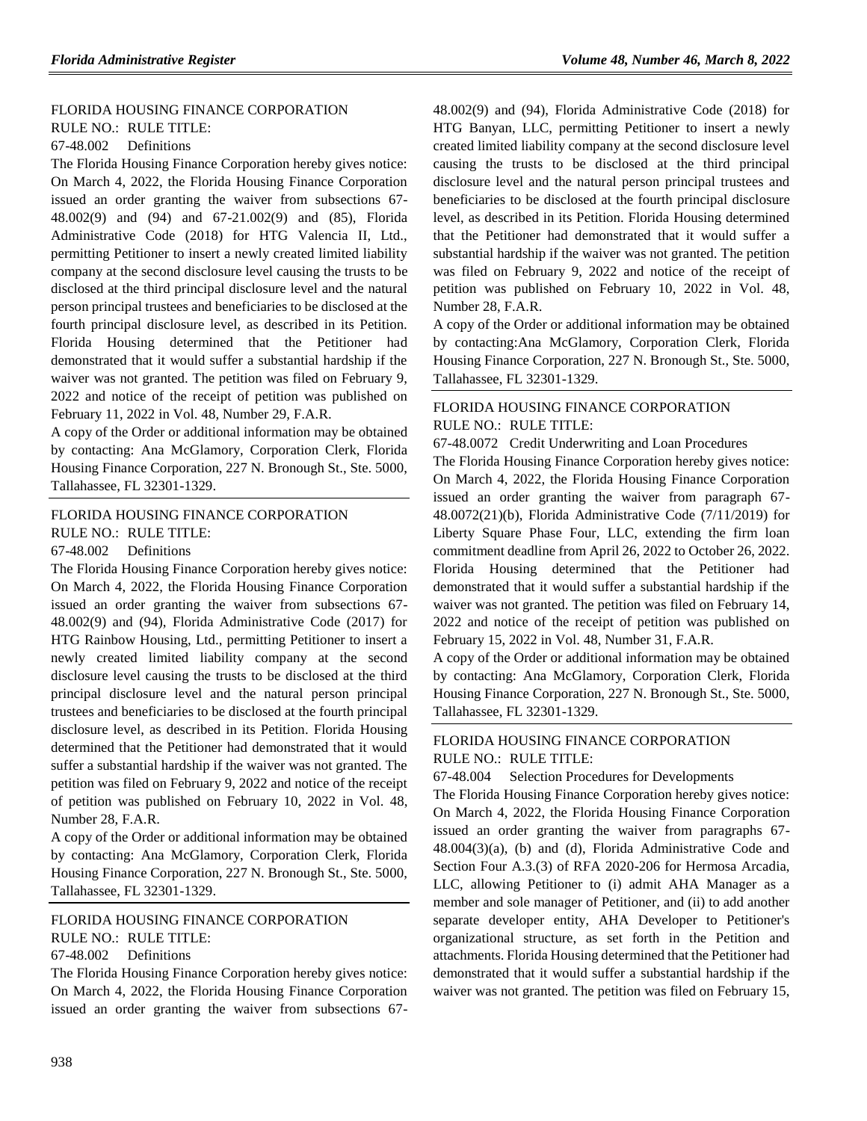## [FLORIDA HOUSING FINANCE CORPORATION](https://www.flrules.org/gateway/department.asp?id=67)

RULE NO.: RULE TITLE:

[67-48.002](https://www.flrules.org/gateway/ruleNo.asp?id=67-48.002) Definitions

The Florida Housing Finance Corporation hereby gives notice: On March 4, 2022, the Florida Housing Finance Corporation issued an order granting the waiver from subsections 67- 48.002(9) and (94) and 67-21.002(9) and (85), Florida Administrative Code (2018) for HTG Valencia II, Ltd., permitting Petitioner to insert a newly created limited liability company at the second disclosure level causing the trusts to be disclosed at the third principal disclosure level and the natural person principal trustees and beneficiaries to be disclosed at the fourth principal disclosure level, as described in its Petition. Florida Housing determined that the Petitioner had demonstrated that it would suffer a substantial hardship if the waiver was not granted. The petition was filed on February 9, 2022 and notice of the receipt of petition was published on February 11, 2022 in Vol. 48, Number 29, F.A.R.

A copy of the Order or additional information may be obtained by contacting: Ana McGlamory, Corporation Clerk, Florida Housing Finance Corporation, 227 N. Bronough St., Ste. 5000, Tallahassee, FL 32301-1329.

[FLORIDA HOUSING FINANCE CORPORATION](https://www.flrules.org/gateway/department.asp?id=67) RULE NO.: RULE TITLE: [67-48.002](https://www.flrules.org/gateway/ruleNo.asp?id=67-48.002) Definitions

The Florida Housing Finance Corporation hereby gives notice: On March 4, 2022, the Florida Housing Finance Corporation issued an order granting the waiver from subsections 67- 48.002(9) and (94), Florida Administrative Code (2017) for HTG Rainbow Housing, Ltd., permitting Petitioner to insert a newly created limited liability company at the second disclosure level causing the trusts to be disclosed at the third principal disclosure level and the natural person principal trustees and beneficiaries to be disclosed at the fourth principal disclosure level, as described in its Petition. Florida Housing determined that the Petitioner had demonstrated that it would suffer a substantial hardship if the waiver was not granted. The petition was filed on February 9, 2022 and notice of the receipt of petition was published on February 10, 2022 in Vol. 48, Number 28, F.A.R.

A copy of the Order or additional information may be obtained by contacting: Ana McGlamory, Corporation Clerk, Florida Housing Finance Corporation, 227 N. Bronough St., Ste. 5000, Tallahassee, FL 32301-1329.

#### [FLORIDA HOUSING FINANCE CORPORATION](https://www.flrules.org/gateway/department.asp?id=67) RULE NO.: RULE TITLE:

[67-48.002](https://www.flrules.org/gateway/ruleNo.asp?id=67-48.002) Definitions

The Florida Housing Finance Corporation hereby gives notice: On March 4, 2022, the Florida Housing Finance Corporation issued an order granting the waiver from subsections 6748.002(9) and (94), Florida Administrative Code (2018) for HTG Banyan, LLC, permitting Petitioner to insert a newly created limited liability company at the second disclosure level causing the trusts to be disclosed at the third principal disclosure level and the natural person principal trustees and beneficiaries to be disclosed at the fourth principal disclosure level, as described in its Petition. Florida Housing determined that the Petitioner had demonstrated that it would suffer a substantial hardship if the waiver was not granted. The petition was filed on February 9, 2022 and notice of the receipt of petition was published on February 10, 2022 in Vol. 48, Number 28, F.A.R.

A copy of the Order or additional information may be obtained by contacting:Ana McGlamory, Corporation Clerk, Florida Housing Finance Corporation, 227 N. Bronough St., Ste. 5000, Tallahassee, FL 32301-1329.

## [FLORIDA HOUSING FINANCE CORPORATION](https://www.flrules.org/gateway/department.asp?id=67) RULE NO.: RULE TITLE:

[67-48.0072](https://www.flrules.org/gateway/ruleNo.asp?id=67-48.0072) Credit Underwriting and Loan Procedures

The Florida Housing Finance Corporation hereby gives notice: On March 4, 2022, the Florida Housing Finance Corporation issued an order granting the waiver from paragraph 67- 48.0072(21)(b), Florida Administrative Code (7/11/2019) for Liberty Square Phase Four, LLC, extending the firm loan commitment deadline from April 26, 2022 to October 26, 2022. Florida Housing determined that the Petitioner had demonstrated that it would suffer a substantial hardship if the waiver was not granted. The petition was filed on February 14, 2022 and notice of the receipt of petition was published on February 15, 2022 in Vol. 48, Number 31, F.A.R.

A copy of the Order or additional information may be obtained by contacting: Ana McGlamory, Corporation Clerk, Florida Housing Finance Corporation, 227 N. Bronough St., Ste. 5000, Tallahassee, FL 32301-1329.

## [FLORIDA HOUSING FINANCE CORPORATION](https://www.flrules.org/gateway/department.asp?id=67) RULE NO.: RULE TITLE:

#### [67-48.004](https://www.flrules.org/gateway/ruleNo.asp?id=67-48.004) Selection Procedures for Developments

The Florida Housing Finance Corporation hereby gives notice: On March 4, 2022, the Florida Housing Finance Corporation issued an order granting the waiver from paragraphs 67- 48.004(3)(a), (b) and (d), Florida Administrative Code and Section Four A.3.(3) of RFA 2020-206 for Hermosa Arcadia, LLC, allowing Petitioner to (i) admit AHA Manager as a member and sole manager of Petitioner, and (ii) to add another separate developer entity, AHA Developer to Petitioner's organizational structure, as set forth in the Petition and attachments. Florida Housing determined that the Petitioner had demonstrated that it would suffer a substantial hardship if the waiver was not granted. The petition was filed on February 15,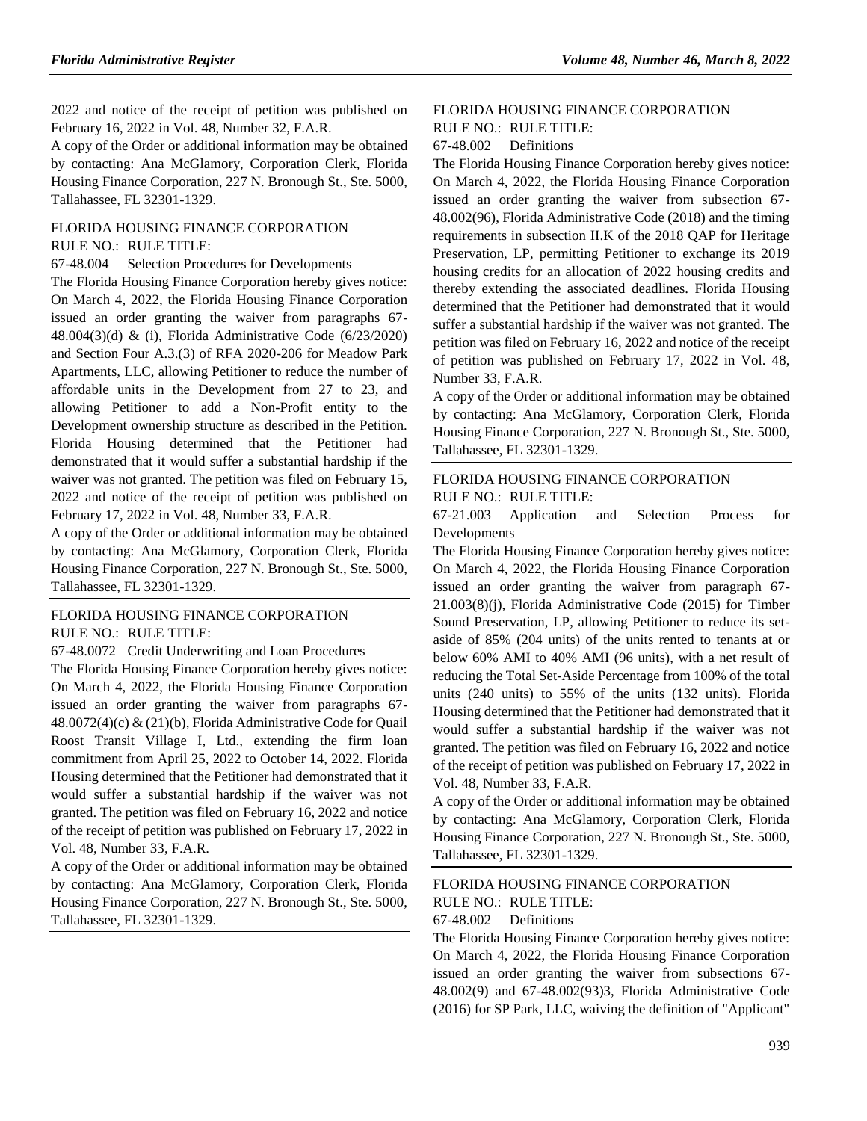2022 and notice of the receipt of petition was published on February 16, 2022 in Vol. 48, Number 32, F.A.R.

A copy of the Order or additional information may be obtained by contacting: Ana McGlamory, Corporation Clerk, Florida Housing Finance Corporation, 227 N. Bronough St., Ste. 5000, Tallahassee, FL 32301-1329.

## [FLORIDA HOUSING FINANCE CORPORATION](https://www.flrules.org/gateway/department.asp?id=67) RULE NO.: RULE TITLE:

[67-48.004](https://www.flrules.org/gateway/ruleNo.asp?id=67-48.004) Selection Procedures for Developments

The Florida Housing Finance Corporation hereby gives notice: On March 4, 2022, the Florida Housing Finance Corporation issued an order granting the waiver from paragraphs 67- 48.004(3)(d) & (i), Florida Administrative Code (6/23/2020) and Section Four A.3.(3) of RFA 2020-206 for Meadow Park Apartments, LLC, allowing Petitioner to reduce the number of affordable units in the Development from 27 to 23, and allowing Petitioner to add a Non-Profit entity to the Development ownership structure as described in the Petition. Florida Housing determined that the Petitioner had demonstrated that it would suffer a substantial hardship if the waiver was not granted. The petition was filed on February 15, 2022 and notice of the receipt of petition was published on February 17, 2022 in Vol. 48, Number 33, F.A.R.

A copy of the Order or additional information may be obtained by contacting: Ana McGlamory, Corporation Clerk, Florida Housing Finance Corporation, 227 N. Bronough St., Ste. 5000, Tallahassee, FL 32301-1329.

## FLORIDA [HOUSING FINANCE CORPORATION](https://www.flrules.org/gateway/department.asp?id=67) RULE NO.: RULE TITLE:

[67-48.0072](https://www.flrules.org/gateway/ruleNo.asp?id=67-48.0072) Credit Underwriting and Loan Procedures

The Florida Housing Finance Corporation hereby gives notice: On March 4, 2022, the Florida Housing Finance Corporation issued an order granting the waiver from paragraphs 67- 48.0072(4)(c) & (21)(b), Florida Administrative Code for Quail Roost Transit Village I, Ltd., extending the firm loan commitment from April 25, 2022 to October 14, 2022. Florida Housing determined that the Petitioner had demonstrated that it would suffer a substantial hardship if the waiver was not granted. The petition was filed on February 16, 2022 and notice of the receipt of petition was published on February 17, 2022 in Vol. 48, Number 33, F.A.R.

A copy of the Order or additional information may be obtained by contacting: Ana McGlamory, Corporation Clerk, Florida Housing Finance Corporation, 227 N. Bronough St., Ste. 5000, Tallahassee, FL 32301-1329.

### [FLORIDA HOUSING FINANCE CORPORATION](https://www.flrules.org/gateway/department.asp?id=67) RULE NO.: RULE TITLE:

[67-48.002](https://www.flrules.org/gateway/ruleNo.asp?id=67-48.002) Definitions

The Florida Housing Finance Corporation hereby gives notice: On March 4, 2022, the Florida Housing Finance Corporation issued an order granting the waiver from subsection 67- 48.002(96), Florida Administrative Code (2018) and the timing requirements in subsection II.K of the 2018 QAP for Heritage Preservation, LP, permitting Petitioner to exchange its 2019 housing credits for an allocation of 2022 housing credits and thereby extending the associated deadlines. Florida Housing determined that the Petitioner had demonstrated that it would suffer a substantial hardship if the waiver was not granted. The petition was filed on February 16, 2022 and notice of the receipt of petition was published on February 17, 2022 in Vol. 48, Number 33, F.A.R.

A copy of the Order or additional information may be obtained by contacting: Ana McGlamory, Corporation Clerk, Florida Housing Finance Corporation, 227 N. Bronough St., Ste. 5000, Tallahassee, FL 32301-1329.

## [FLORIDA HOUSING FINANCE CORPORATION](https://www.flrules.org/gateway/department.asp?id=67) RULE NO.: RULE TITLE:

[67-21.003](https://www.flrules.org/gateway/ruleNo.asp?id=67-21.003) Application and Selection Process for Developments

The Florida Housing Finance Corporation hereby gives notice: On March 4, 2022, the Florida Housing Finance Corporation issued an order granting the waiver from paragraph 67- 21.003(8)(j), Florida Administrative Code (2015) for Timber Sound Preservation, LP, allowing Petitioner to reduce its setaside of 85% (204 units) of the units rented to tenants at or below 60% AMI to 40% AMI (96 units), with a net result of reducing the Total Set-Aside Percentage from 100% of the total units (240 units) to 55% of the units (132 units). Florida Housing determined that the Petitioner had demonstrated that it would suffer a substantial hardship if the waiver was not granted. The petition was filed on February 16, 2022 and notice of the receipt of petition was published on February 17, 2022 in Vol. 48, Number 33, F.A.R.

A copy of the Order or additional information may be obtained by contacting: Ana McGlamory, Corporation Clerk, Florida Housing Finance Corporation, 227 N. Bronough St., Ste. 5000, Tallahassee, FL 32301-1329.

## [FLORIDA HOUSING FINANCE CORPORATION](https://www.flrules.org/gateway/department.asp?id=67) RULE NO.: RULE TITLE:

[67-48.002](https://www.flrules.org/gateway/ruleNo.asp?id=67-48.002) Definitions

The Florida Housing Finance Corporation hereby gives notice: On March 4, 2022, the Florida Housing Finance Corporation issued an order granting the waiver from subsections 67- 48.002(9) and 67-48.002(93)3, Florida Administrative Code (2016) for SP Park, LLC, waiving the definition of "Applicant"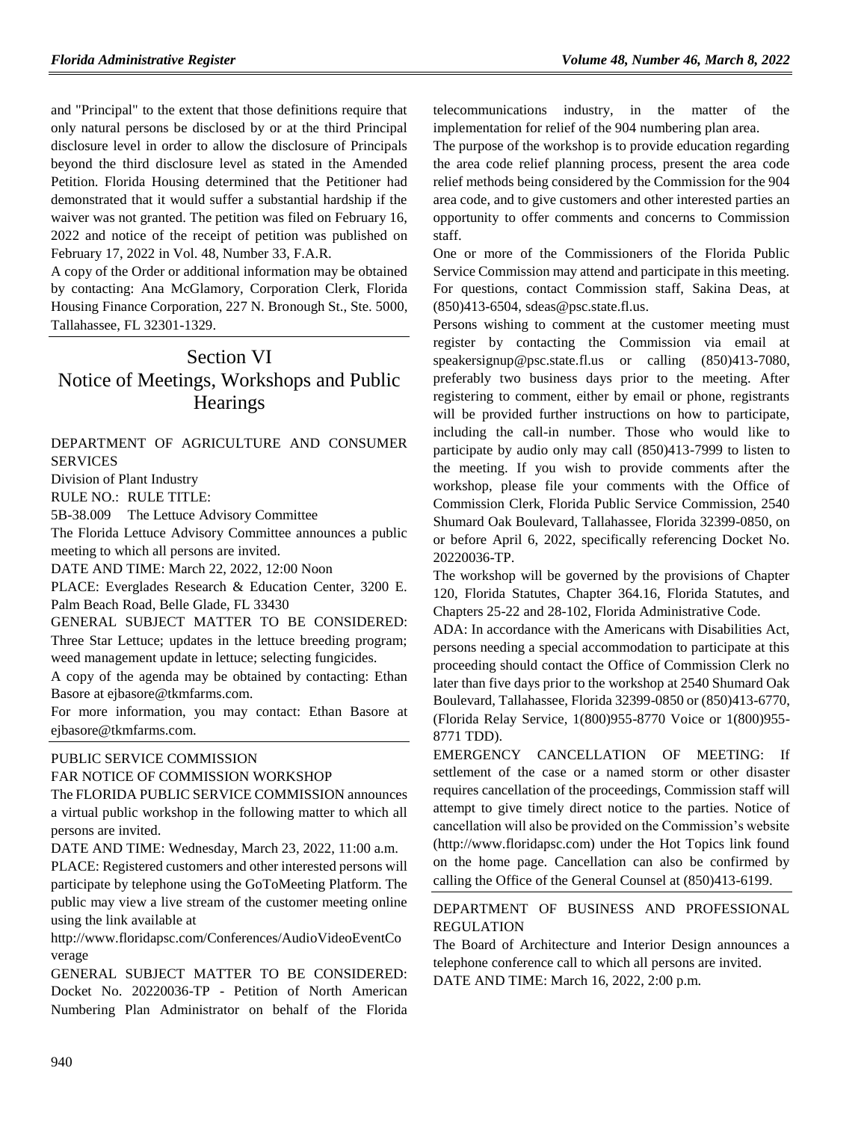and "Principal" to the extent that those definitions require that only natural persons be disclosed by or at the third Principal disclosure level in order to allow the disclosure of Principals beyond the third disclosure level as stated in the Amended Petition. Florida Housing determined that the Petitioner had demonstrated that it would suffer a substantial hardship if the waiver was not granted. The petition was filed on February 16, 2022 and notice of the receipt of petition was published on February 17, 2022 in Vol. 48, Number 33, F.A.R.

A copy of the Order or additional information may be obtained by contacting: Ana McGlamory, Corporation Clerk, Florida Housing Finance Corporation, 227 N. Bronough St., Ste. 5000, Tallahassee, FL 32301-1329.

# Section VI Notice of Meetings, Workshops and Public **Hearings**

### [DEPARTMENT OF AGRICULTURE AND CONSUMER](https://www.flrules.org/gateway/department.asp?id=5)  [SERVICES](https://www.flrules.org/gateway/department.asp?id=5)

[Division of Plant Industry](https://www.flrules.org/gateway/organization.asp?id=162)

RULE NO.: RULE TITLE:

[5B-38.009](https://www.flrules.org/gateway/ruleNo.asp?id=5B-38.009) The Lettuce Advisory Committee

The Florida Lettuce Advisory Committee announces a public meeting to which all persons are invited.

DATE AND TIME: March 22, 2022, 12:00 Noon

PLACE: Everglades Research & Education Center, 3200 E. Palm Beach Road, Belle Glade, FL 33430

GENERAL SUBJECT MATTER TO BE CONSIDERED: Three Star Lettuce; updates in the lettuce breeding program; weed management update in lettuce; selecting fungicides.

A copy of the agenda may be obtained by contacting: Ethan Basore at ejbasore@tkmfarms.com.

For more information, you may contact: Ethan Basore at ejbasore@tkmfarms.com.

#### [PUBLIC SERVICE COMMISSION](https://www.flrules.org/gateway/department.asp?id=25)

#### FAR NOTICE OF COMMISSION WORKSHOP

The FLORIDA PUBLIC SERVICE COMMISSION announces a virtual public workshop in the following matter to which all persons are invited.

DATE AND TIME: Wednesday, March 23, 2022, 11:00 a.m.

PLACE: Registered customers and other interested persons will participate by telephone using the GoToMeeting Platform. The public may view a live stream of the customer meeting online using the link available at

[http://www.floridapsc.com/Conferences/AudioVideoEventCo](http://www.floridapsc.com/Conferences/AudioVideoEventCoverage) [verage](http://www.floridapsc.com/Conferences/AudioVideoEventCoverage)

GENERAL SUBJECT MATTER TO BE CONSIDERED: Docket No. 20220036-TP - Petition of North American Numbering Plan Administrator on behalf of the Florida telecommunications industry, in the matter of the implementation for relief of the 904 numbering plan area.

The purpose of the workshop is to provide education regarding the area code relief planning process, present the area code relief methods being considered by the Commission for the 904 area code, and to give customers and other interested parties an opportunity to offer comments and concerns to Commission staff.

One or more of the Commissioners of the Florida Public Service Commission may attend and participate in this meeting. For questions, contact Commission staff, Sakina Deas, at (850)413-6504, [sdeas@psc.state.fl.us.](mailto:sdeas@psc.state.fl.us)

Persons wishing to comment at the customer meeting must register by contacting the Commission via email at [speakersignup@psc.state.fl.us](mailto:speakersignup@psc.state.fl.us) or calling (850)413-7080, preferably two business days prior to the meeting. After registering to comment, either by email or phone, registrants will be provided further instructions on how to participate, including the call-in number. Those who would like to participate by audio only may call (850)413-7999 to listen to the meeting. If you wish to provide comments after the workshop, please file your comments with the Office of Commission Clerk, Florida Public Service Commission, 2540 Shumard Oak Boulevard, Tallahassee, Florida 32399-0850, on or before April 6, 2022, specifically referencing Docket No. 20220036-TP.

The workshop will be governed by the provisions of Chapter 120, Florida Statutes, Chapter 364.16, Florida Statutes, and Chapters 25-22 and 28-102, Florida Administrative Code.

ADA: In accordance with the Americans with Disabilities Act, persons needing a special accommodation to participate at this proceeding should contact the Office of Commission Clerk no later than five days prior to the workshop at 2540 Shumard Oak Boulevard, Tallahassee, Florida 32399-0850 or (850)413-6770, (Florida Relay Service, 1(800)955-8770 Voice or 1(800)955- 8771 TDD).

EMERGENCY CANCELLATION OF MEETING: If settlement of the case or a named storm or other disaster requires cancellation of the proceedings, Commission staff will attempt to give timely direct notice to the parties. Notice of cancellation will also be provided on the Commission's website (http://www.floridapsc.com) under the Hot Topics link found on the home page. Cancellation can also be confirmed by calling the Office of the General Counsel at (850)413-6199.

### [DEPARTMENT OF BUSINESS AND PROFESSIONAL](https://www.flrules.org/gateway/department.asp?id=61)  [REGULATION](https://www.flrules.org/gateway/department.asp?id=61)

The Board of Architecture and Interior Design announces a telephone conference call to which all persons are invited. DATE AND TIME: March 16, 2022, 2:00 p.m.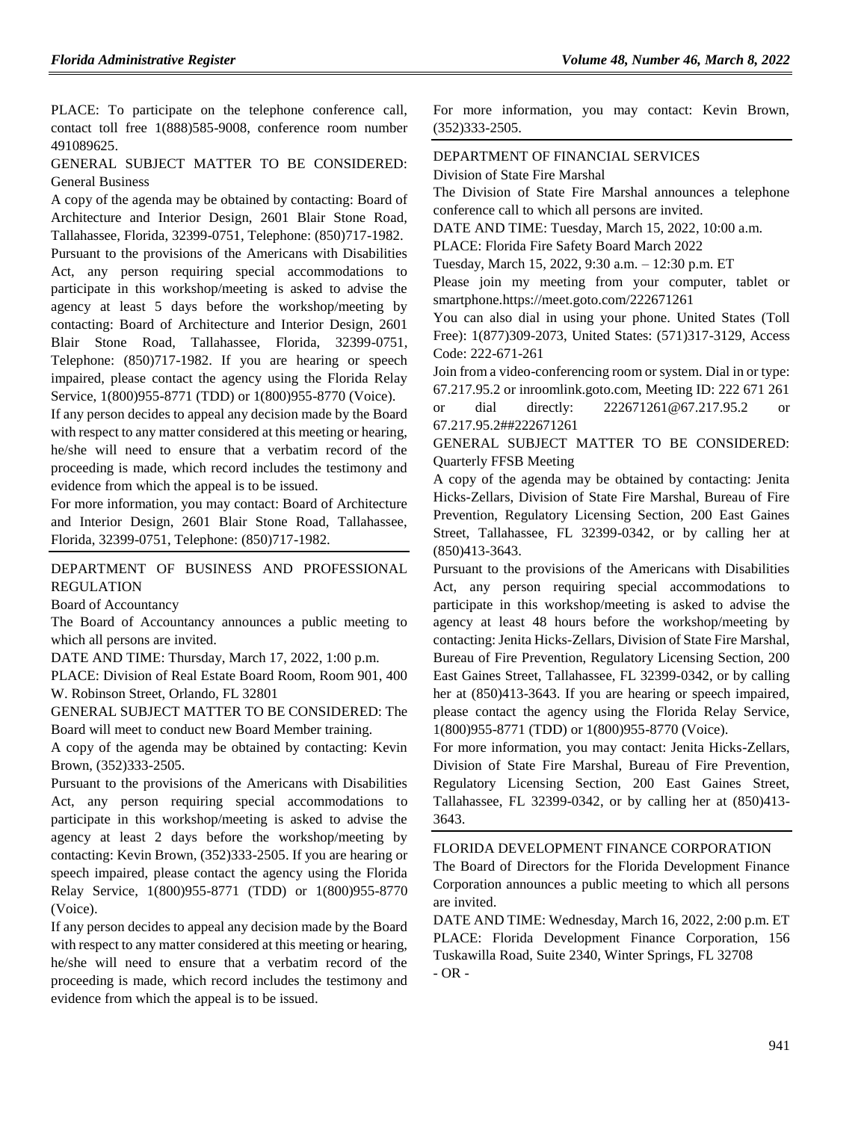PLACE: To participate on the telephone conference call, contact toll free 1(888)585-9008, conference room number 491089625.

### GENERAL SUBJECT MATTER TO BE CONSIDERED: General Business

A copy of the agenda may be obtained by contacting: Board of Architecture and Interior Design, 2601 Blair Stone Road, Tallahassee, Florida, 32399-0751, Telephone: (850)717-1982.

Pursuant to the provisions of the Americans with Disabilities Act, any person requiring special accommodations to participate in this workshop/meeting is asked to advise the agency at least 5 days before the workshop/meeting by contacting: Board of Architecture and Interior Design, 2601 Blair Stone Road, Tallahassee, Florida, 32399-0751, Telephone: (850)717-1982. If you are hearing or speech impaired, please contact the agency using the Florida Relay Service, 1(800)955-8771 (TDD) or 1(800)955-8770 (Voice).

If any person decides to appeal any decision made by the Board with respect to any matter considered at this meeting or hearing, he/she will need to ensure that a verbatim record of the proceeding is made, which record includes the testimony and evidence from which the appeal is to be issued.

For more information, you may contact: Board of Architecture and Interior Design, 2601 Blair Stone Road, Tallahassee, Florida, 32399-0751, Telephone: (850)717-1982.

## [DEPARTMENT OF BUSINESS AND PROFESSIONAL](https://www.flrules.org/gateway/department.asp?id=61)  [REGULATION](https://www.flrules.org/gateway/department.asp?id=61)

[Board of Accountancy](https://www.flrules.org/gateway/organization.asp?id=280)

The Board of Accountancy announces a public meeting to which all persons are invited.

DATE AND TIME: Thursday, March 17, 2022, 1:00 p.m.

PLACE: Division of Real Estate Board Room, Room 901, 400 W. Robinson Street, Orlando, FL 32801

GENERAL SUBJECT MATTER TO BE CONSIDERED: The Board will meet to conduct new Board Member training.

A copy of the agenda may be obtained by contacting: Kevin Brown, (352)333-2505.

Pursuant to the provisions of the Americans with Disabilities Act, any person requiring special accommodations to participate in this workshop/meeting is asked to advise the agency at least 2 days before the workshop/meeting by contacting: Kevin Brown, (352)333-2505. If you are hearing or speech impaired, please contact the agency using the Florida Relay Service, 1(800)955-8771 (TDD) or 1(800)955-8770 (Voice).

If any person decides to appeal any decision made by the Board with respect to any matter considered at this meeting or hearing, he/she will need to ensure that a verbatim record of the proceeding is made, which record includes the testimony and evidence from which the appeal is to be issued.

For more information, you may contact: Kevin Brown, (352)333-2505.

#### [DEPARTMENT OF FINANCIAL SERVICES](https://www.flrules.org/gateway/department.asp?id=69) [Division of State Fire Marshal](https://www.flrules.org/gateway/organization.asp?id=359)

The Division of State Fire Marshal announces a telephone conference call to which all persons are invited.

DATE AND TIME: Tuesday, March 15, 2022, 10:00 a.m.

PLACE: Florida Fire Safety Board March 2022

Tuesday, March 15, 2022, 9:30 a.m. – 12:30 p.m. ET

Please join my meeting from your computer, tablet or smartphone.https://meet.goto.com/222671261

You can also dial in using your phone. United States (Toll Free): 1(877)309-2073, United States: (571)317-3129, Access Code: 222-671-261

Join from a video-conferencing room or system. Dial in or type: 67.217.95.2 or inroomlink.goto.com, Meeting ID: 222 671 261 or dial directly: 222671261@67.217.95.2 or 67.217.95.2##222671261

GENERAL SUBJECT MATTER TO BE CONSIDERED: Quarterly FFSB Meeting

A copy of the agenda may be obtained by contacting: Jenita Hicks-Zellars, Division of State Fire Marshal, Bureau of Fire Prevention, Regulatory Licensing Section, 200 East Gaines Street, Tallahassee, FL 32399-0342, or by calling her at (850)413-3643.

Pursuant to the provisions of the Americans with Disabilities Act, any person requiring special accommodations to participate in this workshop/meeting is asked to advise the agency at least 48 hours before the workshop/meeting by contacting: Jenita Hicks-Zellars, Division of State Fire Marshal, Bureau of Fire Prevention, Regulatory Licensing Section, 200 East Gaines Street, Tallahassee, FL 32399-0342, or by calling her at  $(850)413-3643$ . If you are hearing or speech impaired, please contact the agency using the Florida Relay Service, 1(800)955-8771 (TDD) or 1(800)955-8770 (Voice).

For more information, you may contact: Jenita Hicks-Zellars, Division of State Fire Marshal, Bureau of Fire Prevention, Regulatory Licensing Section, 200 East Gaines Street, Tallahassee, FL 32399-0342, or by calling her at (850)413- 3643.

#### [FLORIDA DEVELOPMENT FINANCE CORPORATION](https://www.flrules.org/gateway/organization.asp?id=941)

The Board of Directors for the Florida Development Finance Corporation announces a public meeting to which all persons are invited.

DATE AND TIME: Wednesday, March 16, 2022, 2:00 p.m. ET PLACE: Florida Development Finance Corporation, 156 Tuskawilla Road, Suite 2340, Winter Springs, FL 32708  $- OR -$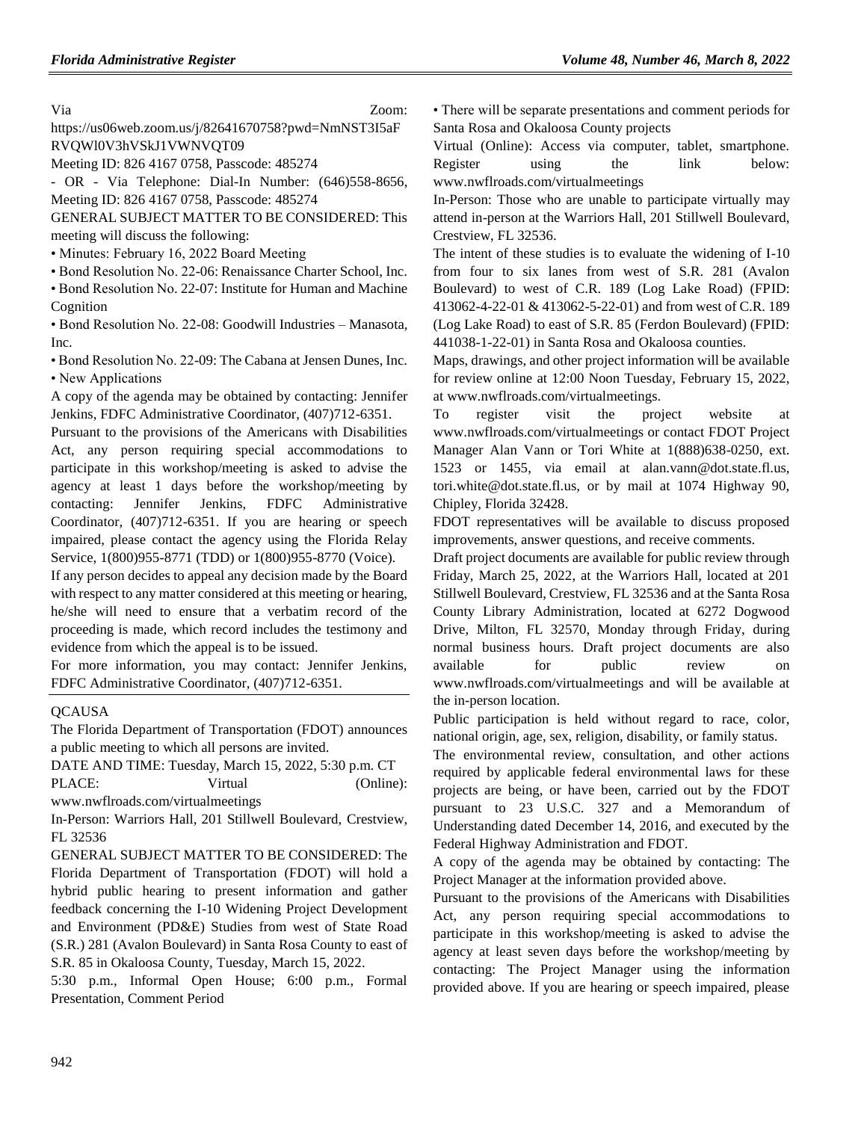Via Zoom: https://us06web.zoom.us/j/82641670758?pwd=NmNST3I5aF RVQWl0V3hVSkJ1VWNVQT09

Meeting ID: 826 4167 0758, Passcode: 485274

- OR - Via Telephone: Dial-In Number: (646)558-8656,

Meeting ID: 826 4167 0758, Passcode: 485274

GENERAL SUBJECT MATTER TO BE CONSIDERED: This meeting will discuss the following:

• Minutes: February 16, 2022 Board Meeting

• Bond Resolution No. 22-06: Renaissance Charter School, Inc.

• Bond Resolution No. 22-07: Institute for Human and Machine Cognition

• Bond Resolution No. 22-08: Goodwill Industries – Manasota, Inc.

• Bond Resolution No. 22-09: The Cabana at Jensen Dunes, Inc. • New Applications

A copy of the agenda may be obtained by contacting: Jennifer Jenkins, FDFC Administrative Coordinator, (407)712-6351.

Pursuant to the provisions of the Americans with Disabilities Act, any person requiring special accommodations to participate in this workshop/meeting is asked to advise the agency at least 1 days before the workshop/meeting by contacting: Jennifer Jenkins, FDFC Administrative Coordinator, (407)712-6351. If you are hearing or speech impaired, please contact the agency using the Florida Relay Service, 1(800)955-8771 (TDD) or 1(800)955-8770 (Voice).

If any person decides to appeal any decision made by the Board with respect to any matter considered at this meeting or hearing, he/she will need to ensure that a verbatim record of the proceeding is made, which record includes the testimony and evidence from which the appeal is to be issued.

For more information, you may contact: Jennifer Jenkins, FDFC Administrative Coordinator, (407)712-6351.

#### **OCAUSA**

The Florida Department of Transportation (FDOT) announces a public meeting to which all persons are invited.

DATE AND TIME: Tuesday, March 15, 2022, 5:30 p.m. CT PLACE: Virtual (Online):

www.nwflroads.com/virtualmeetings

In-Person: Warriors Hall, 201 Stillwell Boulevard, Crestview, FL 32536

GENERAL SUBJECT MATTER TO BE CONSIDERED: The Florida Department of Transportation (FDOT) will hold a hybrid public hearing to present information and gather feedback concerning the I-10 Widening Project Development and Environment (PD&E) Studies from west of State Road (S.R.) 281 (Avalon Boulevard) in Santa Rosa County to east of S.R. 85 in Okaloosa County, Tuesday, March 15, 2022.

5:30 p.m., Informal Open House; 6:00 p.m., Formal Presentation, Comment Period

• There will be separate presentations and comment periods for Santa Rosa and Okaloosa County projects

Virtual (Online): Access via computer, tablet, smartphone. Register using the link below: www.nwflroads.com/virtualmeetings

In-Person: Those who are unable to participate virtually may attend in-person at the Warriors Hall, 201 Stillwell Boulevard, Crestview, FL 32536.

The intent of these studies is to evaluate the widening of I-10 from four to six lanes from west of S.R. 281 (Avalon Boulevard) to west of C.R. 189 (Log Lake Road) (FPID: 413062-4-22-01 & 413062-5-22-01) and from west of C.R. 189 (Log Lake Road) to east of S.R. 85 (Ferdon Boulevard) (FPID: 441038-1-22-01) in Santa Rosa and Okaloosa counties.

Maps, drawings, and other project information will be available for review online at 12:00 Noon Tuesday, February 15, 2022, at www.nwflroads.com/virtualmeetings.

To register visit the project website at www.nwflroads.com/virtualmeetings or contact FDOT Project Manager Alan Vann or Tori White at 1(888)638-0250, ext. 1523 or 1455, via email at alan.vann@dot.state.fl.us, tori.white@dot.state.fl.us, or by mail at 1074 Highway 90, Chipley, Florida 32428.

FDOT representatives will be available to discuss proposed improvements, answer questions, and receive comments.

Draft project documents are available for public review through Friday, March 25, 2022, at the Warriors Hall, located at 201 Stillwell Boulevard, Crestview, FL 32536 and at the Santa Rosa County Library Administration, located at 6272 Dogwood Drive, Milton, FL 32570, Monday through Friday, during normal business hours. Draft project documents are also available for public review on www.nwflroads.com/virtualmeetings and will be available at the in-person location.

Public participation is held without regard to race, color, national origin, age, sex, religion, disability, or family status.

The environmental review, consultation, and other actions required by applicable federal environmental laws for these projects are being, or have been, carried out by the FDOT pursuant to 23 U.S.C. 327 and a Memorandum of Understanding dated December 14, 2016, and executed by the Federal Highway Administration and FDOT.

A copy of the agenda may be obtained by contacting: The Project Manager at the information provided above.

Pursuant to the provisions of the Americans with Disabilities Act, any person requiring special accommodations to participate in this workshop/meeting is asked to advise the agency at least seven days before the workshop/meeting by contacting: The Project Manager using the information provided above. If you are hearing or speech impaired, please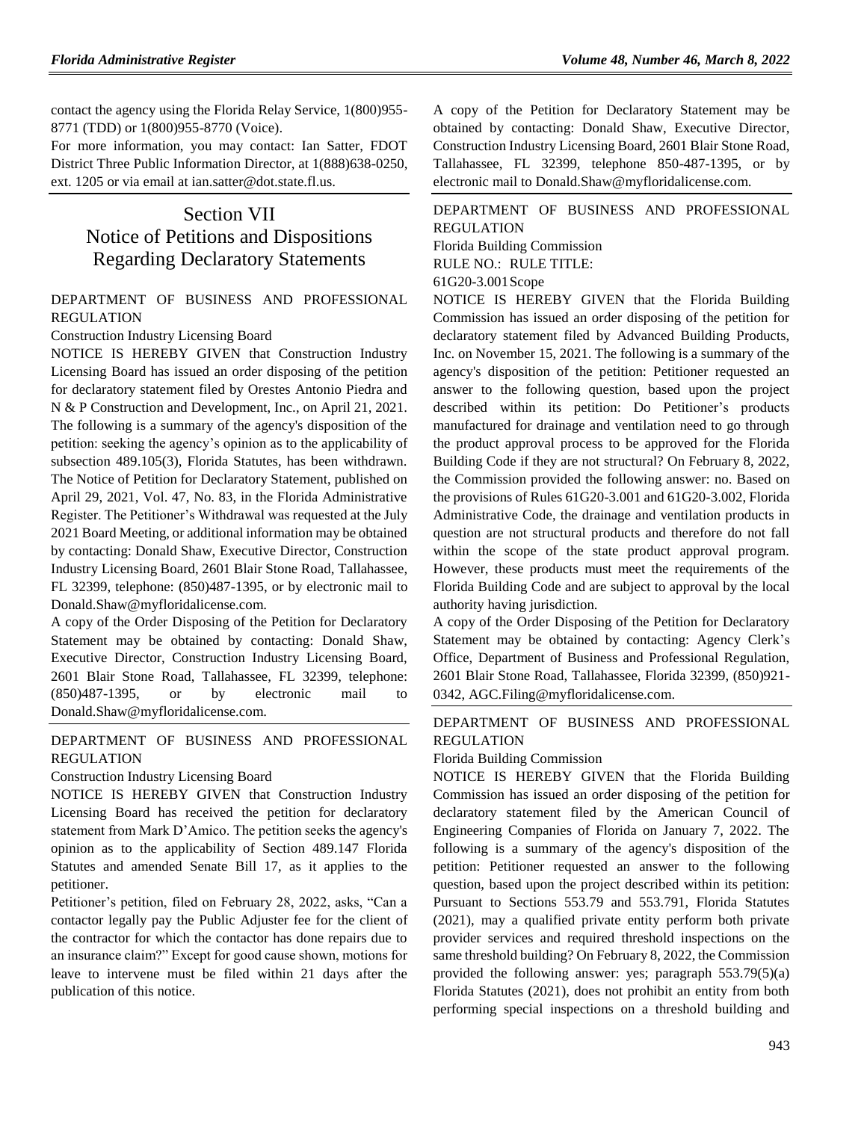contact the agency using the Florida Relay Service, 1(800)955- 8771 (TDD) or 1(800)955-8770 (Voice).

For more information, you may contact: Ian Satter, FDOT District Three Public Information Director, at 1(888)638-0250, ext. 1205 or via email at ian.satter@dot.state.fl.us.

# Section VII Notice of Petitions and Dispositions Regarding Declaratory Statements

### [DEPARTMENT OF BUSINESS AND PROFESSIONAL](https://www.flrules.org/gateway/department.asp?id=61)  [REGULATION](https://www.flrules.org/gateway/department.asp?id=61)

[Construction Industry Licensing Board](https://www.flrules.org/gateway/organization.asp?id=274)

NOTICE IS HEREBY GIVEN that Construction Industry Licensing Board has issued an order disposing of the petition for declaratory statement filed by Orestes Antonio Piedra and N & P Construction and Development, Inc., on April 21, 2021. The following is a summary of the agency's disposition of the petition: seeking the agency's opinion as to the applicability of subsection 489.105(3), Florida Statutes, has been withdrawn. The Notice of Petition for Declaratory Statement, published on April 29, 2021, Vol. 47, No. 83, in the Florida Administrative Register. The Petitioner's Withdrawal was requested at the July 2021 Board Meeting, or additional information may be obtained by contacting: Donald Shaw, Executive Director, Construction Industry Licensing Board, 2601 Blair Stone Road, Tallahassee, FL 32399, telephone: (850)487-1395, or by electronic mail to Donald.Shaw@myfloridalicense.com.

A copy of the Order Disposing of the Petition for Declaratory Statement may be obtained by contacting: Donald Shaw, Executive Director, Construction Industry Licensing Board, 2601 Blair Stone Road, Tallahassee, FL 32399, telephone: (850)487-1395, or by electronic mail to Donald.Shaw@myfloridalicense.com.

## [DEPARTMENT OF BUSINESS AND PROFESSIONAL](https://www.flrules.org/gateway/department.asp?id=61)  [REGULATION](https://www.flrules.org/gateway/department.asp?id=61)

[Construction Industry Licensing Board](https://www.flrules.org/gateway/organization.asp?id=274)

NOTICE IS HEREBY GIVEN that Construction Industry Licensing Board has received the petition for declaratory statement from Mark D'Amico. The petition seeks the agency's opinion as to the applicability of Section 489.147 Florida Statutes and amended Senate Bill 17, as it applies to the petitioner.

Petitioner's petition, filed on February 28, 2022, asks, "Can a contactor legally pay the Public Adjuster fee for the client of the contractor for which the contactor has done repairs due to an insurance claim?" Except for good cause shown, motions for leave to intervene must be filed within 21 days after the publication of this notice.

A copy of the Petition for Declaratory Statement may be obtained by contacting: Donald Shaw, Executive Director, Construction Industry Licensing Board, 2601 Blair Stone Road, Tallahassee, FL 32399, telephone 850-487-1395, or by electronic mail to Donald.Shaw@myfloridalicense.com.

[DEPARTMENT OF BUSINESS AND PROFESSIONAL](https://www.flrules.org/gateway/department.asp?id=61)  [REGULATION](https://www.flrules.org/gateway/department.asp?id=61) [Florida Building Commission](https://www.flrules.org/gateway/organization.asp?id=1071) RULE NO.: RULE TITLE: [61G20-3.001S](https://www.flrules.org/gateway/ruleNo.asp?id=61G20-3.001)cope NOTICE IS HEREBY GIVEN that the Florida Building

Commission has issued an order disposing of the petition for declaratory statement filed by Advanced Building Products, Inc. on November 15, 2021. The following is a summary of the agency's disposition of the petition: Petitioner requested an answer to the following question, based upon the project described within its petition: Do Petitioner's products manufactured for drainage and ventilation need to go through the product approval process to be approved for the Florida Building Code if they are not structural? On February 8, 2022, the Commission provided the following answer: no. Based on the provisions of Rules 61G20-3.001 and 61G20-3.002, Florida Administrative Code, the drainage and ventilation products in question are not structural products and therefore do not fall within the scope of the state product approval program. However, these products must meet the requirements of the Florida Building Code and are subject to approval by the local authority having jurisdiction.

A copy of the Order Disposing of the Petition for Declaratory Statement may be obtained by contacting: Agency Clerk's Office, Department of Business and Professional Regulation, 2601 Blair Stone Road, Tallahassee, Florida 32399, (850)921- 0342, AGC.Filing@myfloridalicense.com.

## [DEPARTMENT OF BUSINESS AND PROFESSIONAL](https://www.flrules.org/gateway/department.asp?id=61)  [REGULATION](https://www.flrules.org/gateway/department.asp?id=61)

[Florida Building Commission](https://www.flrules.org/gateway/organization.asp?id=1071)

NOTICE IS HEREBY GIVEN that the Florida Building Commission has issued an order disposing of the petition for declaratory statement filed by the American Council of Engineering Companies of Florida on January 7, 2022. The following is a summary of the agency's disposition of the petition: Petitioner requested an answer to the following question, based upon the project described within its petition: Pursuant to Sections 553.79 and 553.791, Florida Statutes (2021), may a qualified private entity perform both private provider services and required threshold inspections on the same threshold building? On February 8, 2022, the Commission provided the following answer: yes; paragraph 553.79(5)(a) Florida Statutes (2021), does not prohibit an entity from both performing special inspections on a threshold building and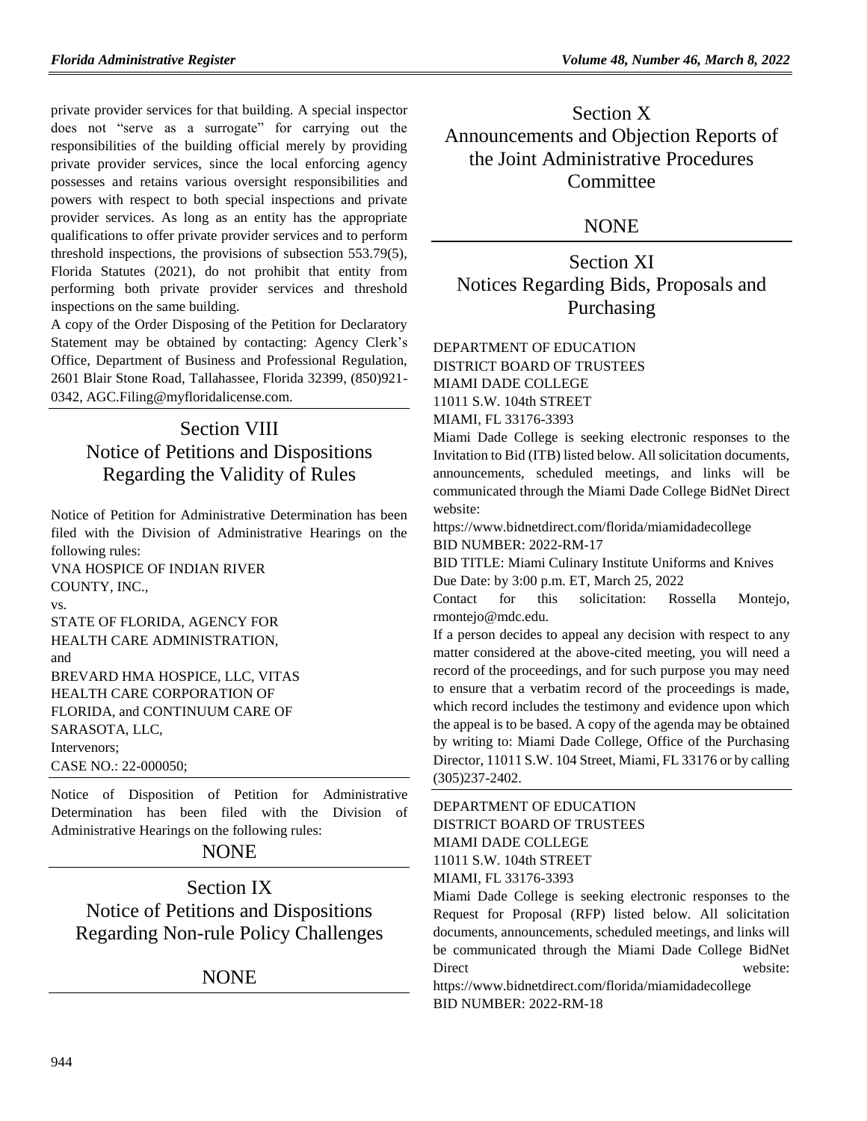private provider services for that building. A special inspector does not "serve as a surrogate" for carrying out the responsibilities of the building official merely by providing private provider services, since the local enforcing agency possesses and retains various oversight responsibilities and powers with respect to both special inspections and private provider services. As long as an entity has the appropriate qualifications to offer private provider services and to perform threshold inspections, the provisions of subsection 553.79(5), Florida Statutes (2021), do not prohibit that entity from performing both private provider services and threshold inspections on the same building.

A copy of the Order Disposing of the Petition for Declaratory Statement may be obtained by contacting: Agency Clerk's Office, Department of Business and Professional Regulation, 2601 Blair Stone Road, Tallahassee, Florida 32399, (850)921- 0342, AGC.Filing@myfloridalicense.com.

# Section VIII Notice of Petitions and Dispositions Regarding the Validity of Rules

Notice of Petition for Administrative Determination has been filed with the Division of Administrative Hearings on the following rules:

VNA HOSPICE OF INDIAN RIVER COUNTY, INC., vs.

STATE OF FLORIDA, AGENCY FOR HEALTH CARE ADMINISTRATION, and BREVARD HMA HOSPICE, LLC, VITAS HEALTH CARE CORPORATION OF FLORIDA, and CONTINUUM CARE OF SARASOTA, LLC, Intervenors; CASE NO.: 22-000050;

Notice of Disposition of Petition for Administrative Determination has been filed with the Division of Administrative Hearings on the following rules:

# NONE

Section IX Notice of Petitions and Dispositions Regarding Non-rule Policy Challenges

# NONE

Section X Announcements and Objection Reports of the Joint Administrative Procedures **Committee** 

## **NONE**

Section XI Notices Regarding Bids, Proposals and Purchasing

#### [DEPARTMENT OF EDUCATION](https://www.flrules.org/gateway/department.asp?id=6) DISTRICT BOARD OF TRUSTEES MIAMI DADE COLLEGE

11011 S.W. 104th STREET

MIAMI, FL 33176-3393

Miami Dade College is seeking electronic responses to the Invitation to Bid (ITB) listed below. All solicitation documents, announcements, scheduled meetings, and links will be communicated through the Miami Dade College BidNet Direct website:

https://www.bidnetdirect.com/florida/miamidadecollege BID NUMBER: 2022-RM-17

BID TITLE: Miami Culinary Institute Uniforms and Knives Due Date: by 3:00 p.m. ET, March 25, 2022

Contact for this solicitation: Rossella Montejo, rmontejo@mdc.edu.

If a person decides to appeal any decision with respect to any matter considered at the above-cited meeting, you will need a record of the proceedings, and for such purpose you may need to ensure that a verbatim record of the proceedings is made, which record includes the testimony and evidence upon which the appeal is to be based. A copy of the agenda may be obtained by writing to: Miami Dade College, Office of the Purchasing Director, 11011 S.W. 104 Street, Miami, FL 33176 or by calling (305)237-2402.

[DEPARTMENT OF EDUCATION](https://www.flrules.org/gateway/department.asp?id=6) DISTRICT BOARD OF TRUSTEES MIAMI DADE COLLEGE 11011 S.W. 104th STREET MIAMI, FL 33176-3393

Miami Dade College is seeking electronic responses to the Request for Proposal (RFP) listed below. All solicitation documents, announcements, scheduled meetings, and links will be communicated through the Miami Dade College BidNet Direct website:

https://www.bidnetdirect.com/florida/miamidadecollege BID NUMBER: 2022-RM-18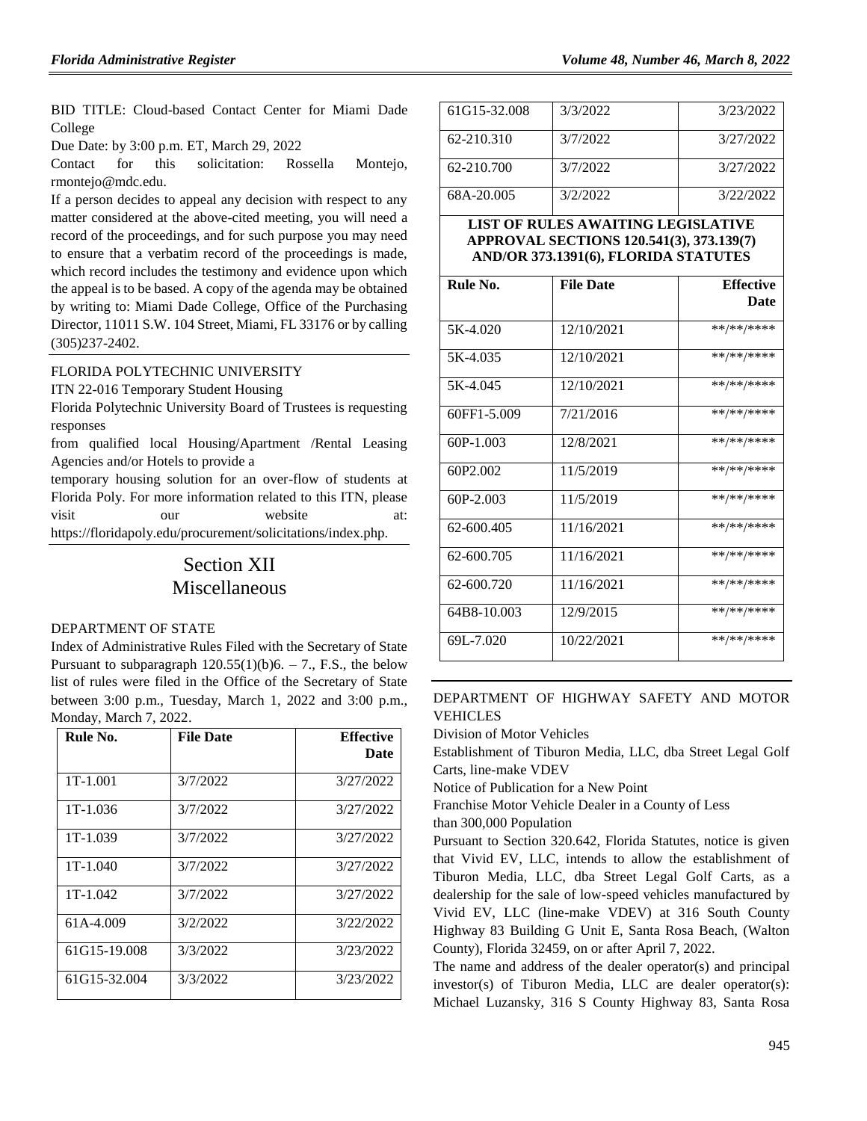BID TITLE: Cloud-based Contact Center for Miami Dade College

Due Date: by 3:00 p.m. ET, March 29, 2022

Contact for this solicitation: Rossella Montejo, rmontejo@mdc.edu.

If a person decides to appeal any decision with respect to any matter considered at the above-cited meeting, you will need a record of the proceedings, and for such purpose you may need to ensure that a verbatim record of the proceedings is made, which record includes the testimony and evidence upon which the appeal is to be based. A copy of the agenda may be obtained by writing to: Miami Dade College, Office of the Purchasing Director, 11011 S.W. 104 Street, Miami, FL 33176 or by calling (305)237-2402.

#### [FLORIDA POLYTECHNIC UNIVERSITY](https://www.flrules.org/gateway/organization.asp?id=1182)

ITN 22-016 Temporary Student Housing

Florida Polytechnic University Board of Trustees is requesting responses

from qualified local Housing/Apartment /Rental Leasing Agencies and/or Hotels to provide a

temporary housing solution for an over-flow of students at Florida Poly. For more information related to this ITN, please visit our website at: https://floridapoly.edu/procurement/solicitations/index.php.

# Section XII Miscellaneous

#### [DEPARTMENT OF STATE](https://www.flrules.org/gateway/department.asp?id=1)

Index of Administrative Rules Filed with the Secretary of State Pursuant to subparagraph  $120.55(1)(b)6. - 7$ ., F.S., the below list of rules were filed in the Office of the Secretary of State between 3:00 p.m., Tuesday, March 1, 2022 and 3:00 p.m., Monday, March 7, 2022.

| Rule No.     | <b>File Date</b> | <b>Effective</b><br>Date |
|--------------|------------------|--------------------------|
| 1T-1.001     | 3/7/2022         | 3/27/2022                |
| $1T-1.036$   | 3/7/2022         | 3/27/2022                |
| $1T-1.039$   | 3/7/2022         | 3/27/2022                |
| $1T-1.040$   | 3/7/2022         | 3/27/2022                |
| $1T-1.042$   | 3/7/2022         | 3/27/2022                |
| 61A-4.009    | 3/2/2022         | 3/22/2022                |
| 61G15-19.008 | 3/3/2022         | 3/23/2022                |
| 61G15-32.004 | 3/3/2022         | 3/23/2022                |

| 61G15-32.008 | 3/3/2022 | 3/23/2022 |
|--------------|----------|-----------|
| 62-210.310   | 3/7/2022 | 3/27/2022 |
| 62-210.700   | 3/7/2022 | 3/27/2022 |
| 68A-20.005   | 3/2/2022 | 3/22/2022 |

### **LIST OF RULES AWAITING LEGISLATIVE APPROVAL SECTIONS 120.541(3), 373.139(7) AND/OR 373.1391(6), FLORIDA STATUTES**

| Rule No.                          | <b>File Date</b> | <b>Effective</b> |
|-----------------------------------|------------------|------------------|
|                                   |                  | Date             |
| 5K-4.020                          | 12/10/2021       | **/**/****       |
| 5K-4.035                          | 12/10/2021       | **/**/****       |
| 5K-4.045                          | 12/10/2021       | **/**/****       |
| 60FF1-5.009                       | 7/21/2016        | **/**/****       |
| $60P-1.003$                       | 12/8/2021        | **/**/****       |
| 60P <sub>2</sub> .00 <sub>2</sub> | 11/5/2019        | **/**/****       |
| $60P-2.003$                       | 11/5/2019        | **/**/****       |
| 62-600.405                        | 11/16/2021       | **/**/****       |
| 62-600.705                        | 11/16/2021       | **/**/****       |
| 62-600.720                        | 11/16/2021       | **/**/****       |
| 64B8-10.003                       | 12/9/2015        | **/**/****       |
| 69L-7.020                         | 10/22/2021       | **/**/****       |

### DEPARTMENT [OF HIGHWAY SAFETY AND MOTOR](https://www.flrules.org/gateway/department.asp?id=15)  [VEHICLES](https://www.flrules.org/gateway/department.asp?id=15)

[Division of Motor Vehicles](https://www.flrules.org/gateway/organization.asp?id=42)

Establishment of Tiburon Media, LLC, dba Street Legal Golf Carts, line-make VDEV

Notice of Publication for a New Point

Franchise Motor Vehicle Dealer in a County of Less

than 300,000 Population

Pursuant to Section 320.642, Florida Statutes, notice is given that Vivid EV, LLC, intends to allow the establishment of Tiburon Media, LLC, dba Street Legal Golf Carts, as a dealership for the sale of low-speed vehicles manufactured by Vivid EV, LLC (line-make VDEV) at 316 South County Highway 83 Building G Unit E, Santa Rosa Beach, (Walton County), Florida 32459, on or after April 7, 2022.

The name and address of the dealer operator(s) and principal investor(s) of Tiburon Media, LLC are dealer operator(s): Michael Luzansky, 316 S County Highway 83, Santa Rosa